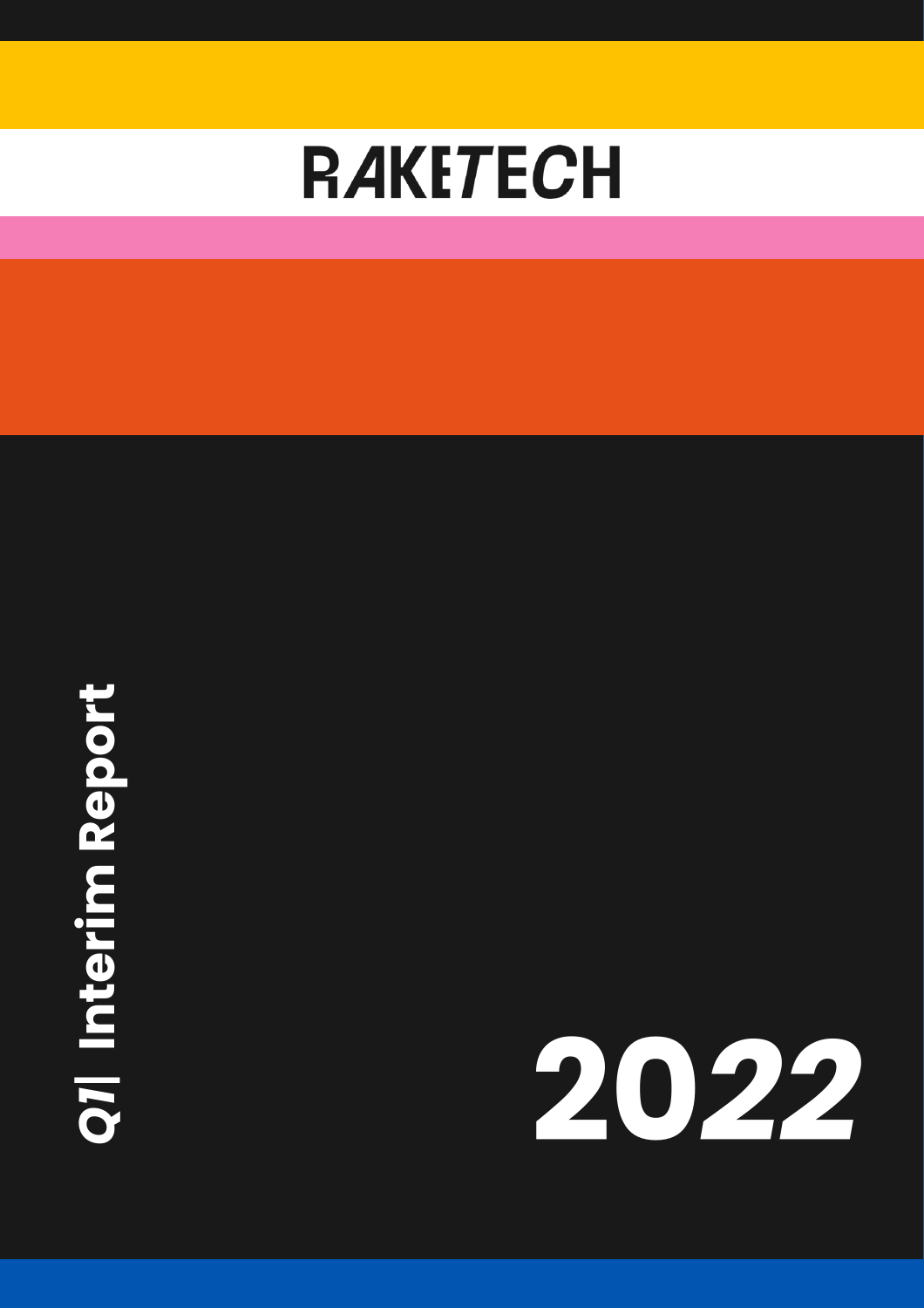

# **Q7| Interim Report** *1*| **Interim Report**

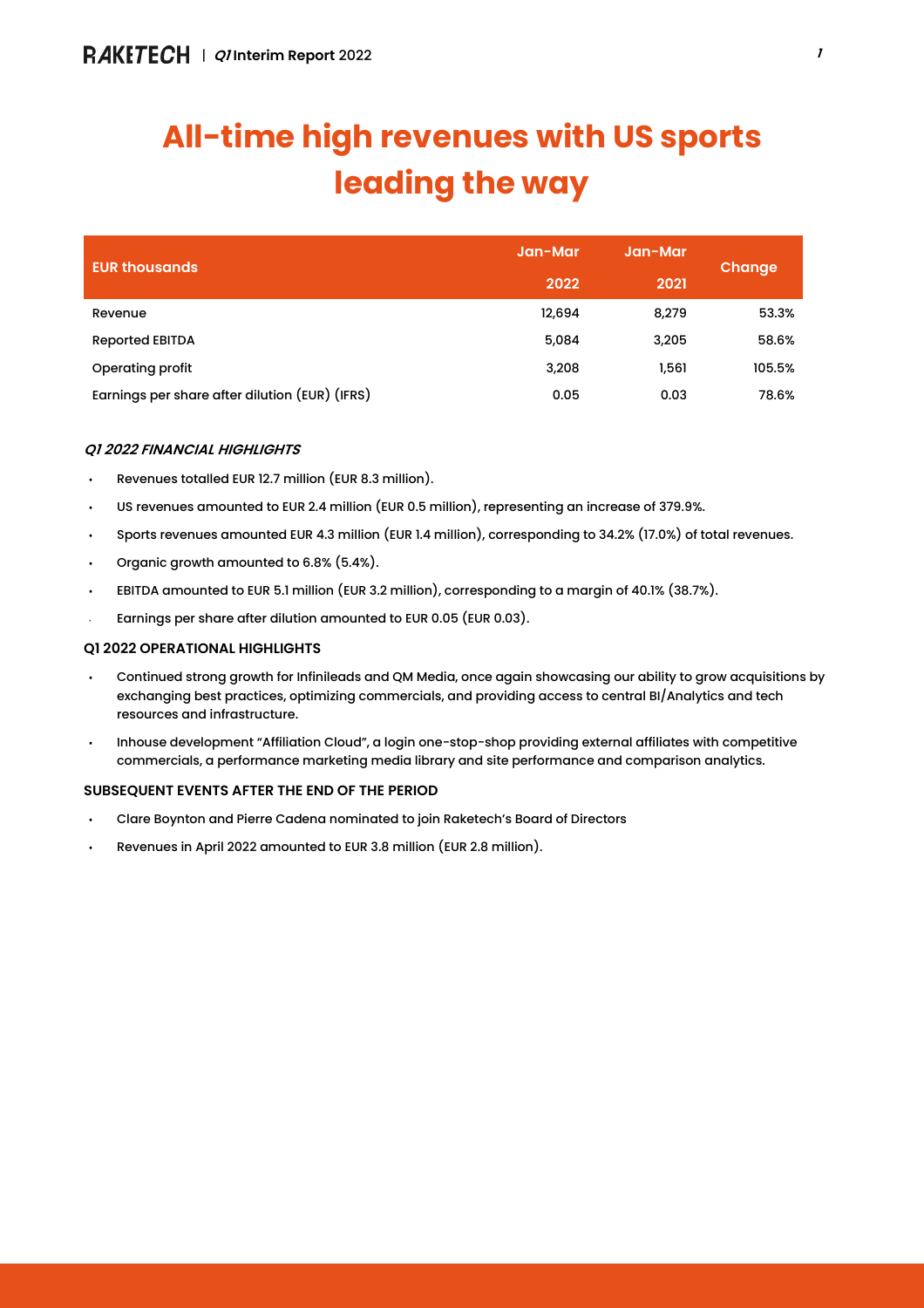# **All-time high revenues with US sports leading the way**

| <b>EUR thousands</b>                           | Jan-Mar | Jan-Mar | Change |
|------------------------------------------------|---------|---------|--------|
|                                                | 2022    | 2021    |        |
| Revenue                                        | 12,694  | 8,279   | 53.3%  |
| <b>Reported EBITDA</b>                         | 5,084   | 3,205   | 58.6%  |
| Operating profit                               | 3,208   | 1,561   | 105.5% |
| Earnings per share after dilution (EUR) (IFRS) | 0.05    | 0.03    | 78.6%  |

## *Q1 2022 FINANCIAL HIGHLIGHTS*

- Revenues totalled EUR 12.7 million (EUR 8.3 million).
- US revenues amounted to EUR 2.4 million (EUR 0.5 million), representing an increase of 379.9%.
- Sports revenues amounted EUR 4.3 million (EUR 1.4 million), corresponding to 34.2% (17.0%) of total revenues.
- Organic growth amounted to 6.8% (5.4%).
- EBITDA amounted to EUR 5.1 million (EUR 3.2 million), corresponding to a margin of 40.1% (38.7%).
- Earnings per share after dilution amounted to EUR 0.05 (EUR 0.03).

## *Q1 2022 OPERATIONAL HIGHLIGHTS*

- Continued strong growth for Infinileads and QM Media, once again showcasing our ability to grow acquisitions by exchanging best practices, optimizing commercials, and providing access to central BI/Analytics and tech resources and infrastructure.
- Inhouse development "Affiliation Cloud", a login one-stop-shop providing external affiliates with competitive commercials, a performance marketing media library and site performance and comparison analytics.

## *SUBSEQUENT EVENTS AFTER THE END OF THE PERIOD*

- Clare Boynton and Pierre Cadena nominated to join Raketech's Board of Directors
- Revenues in April 2022 amounted to EUR 3.8 million (EUR 2.8 million).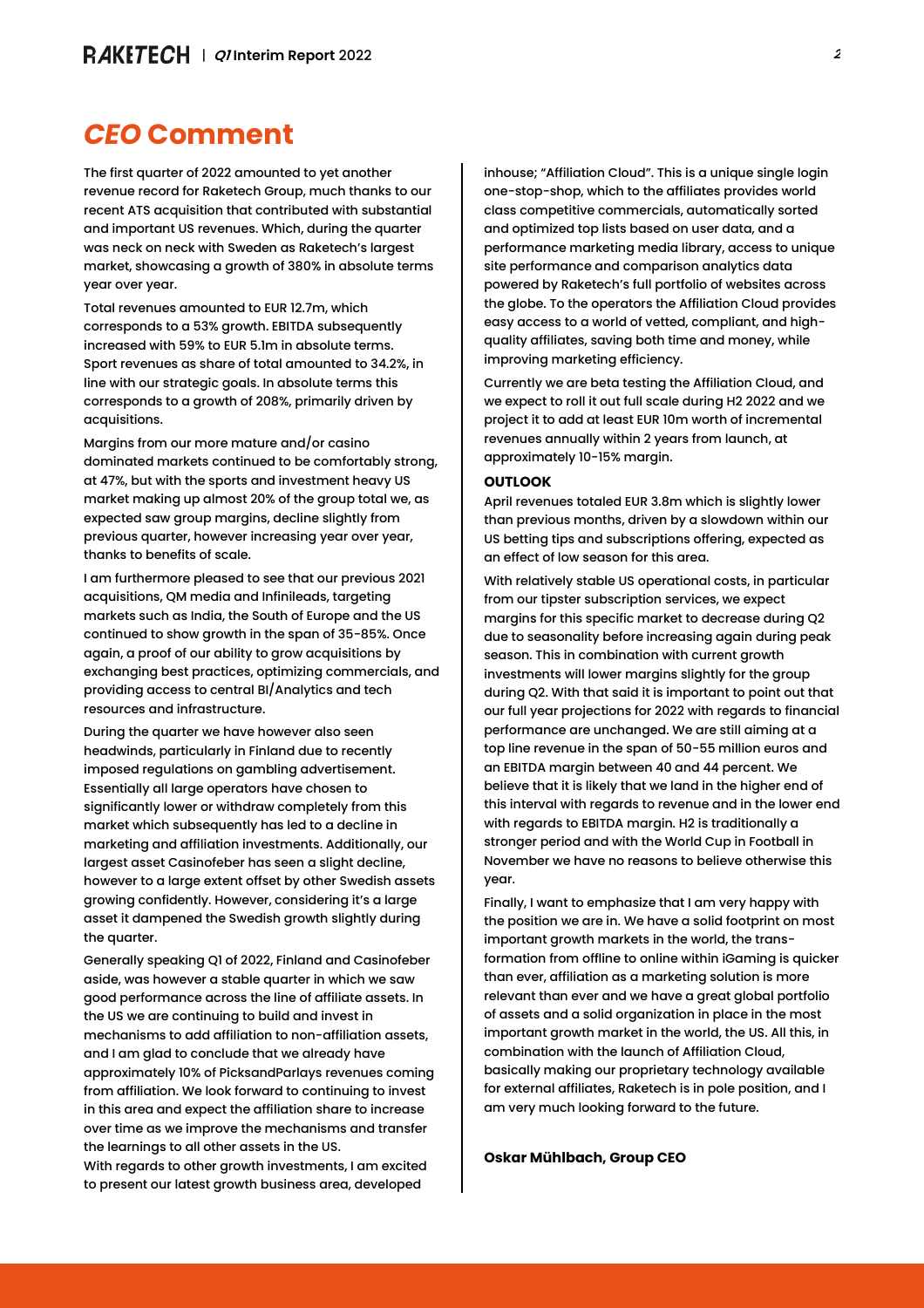## *CEO* **Comment**

The first quarter of 2022 amounted to yet another revenue record for Raketech Group, much thanks to our recent ATS acquisition that contributed with substantial and important US revenues. Which, during the quarter was neck on neck with Sweden as Raketech's largest market, showcasing a growth of 380% in absolute terms year over year.

Total revenues amounted to EUR 12.7m, which corresponds to a 53% growth. EBITDA subsequently increased with 59% to EUR 5.1m in absolute terms. Sport revenues as share of total amounted to 34.2%, in line with our strategic goals. In absolute terms this corresponds to a growth of 208%, primarily driven by acquisitions.

Margins from our more mature and/or casino dominated markets continued to be comfortably strong, at 47%, but with the sports and investment heavy US market making up almost 20% of the group total we, as expected saw group margins, decline slightly from previous quarter, however increasing year over year, thanks to benefits of scale.

I am furthermore pleased to see that our previous 2021 acquisitions, QM media and Infinileads, targeting markets such as India, the South of Europe and the US continued to show growth in the span of 35-85%. Once again, a proof of our ability to grow acquisitions by exchanging best practices, optimizing commercials, and providing access to central BI/Analytics and tech resources and infrastructure.

During the quarter we have however also seen headwinds, particularly in Finland due to recently imposed regulations on gambling advertisement. Essentially all large operators have chosen to significantly lower or withdraw completely from this market which subsequently has led to a decline in marketing and affiliation investments. Additionally, our largest asset Casinofeber has seen a slight decline, however to a large extent offset by other Swedish assets growing confidently. However, considering it's a large asset it dampened the Swedish growth slightly during the quarter.

Generally speaking Q1 of 2022, Finland and Casinofeber aside, was however a stable quarter in which we saw good performance across the line of affiliate assets. In the US we are continuing to build and invest in mechanisms to add affiliation to non-affiliation assets, and I am glad to conclude that we already have approximately 10% of PicksandParlays revenues coming from affiliation. We look forward to continuing to invest in this area and expect the affiliation share to increase over time as we improve the mechanisms and transfer the learnings to all other assets in the US.

With regards to other growth investments, I am excited to present our latest growth business area, developed

inhouse; "Affiliation Cloud". This is a unique single login one-stop-shop, which to the affiliates provides world class competitive commercials, automatically sorted and optimized top lists based on user data, and a performance marketing media library, access to unique site performance and comparison analytics data powered by Raketech's full portfolio of websites across the globe. To the operators the Affiliation Cloud provides easy access to a world of vetted, compliant, and highquality affiliates, saving both time and money, while improving marketing efficiency.

Currently we are beta testing the Affiliation Cloud, and we expect to roll it out full scale during H2 2022 and we project it to add at least EUR 10m worth of incremental revenues annually within 2 years from launch, at approximately 10-15% margin.

#### **OUTLOOK**

April revenues totaled EUR 3.8m which is slightly lower than previous months, driven by a slowdown within our US betting tips and subscriptions offering, expected as an effect of low season for this area.

With relatively stable US operational costs, in particular from our tipster subscription services, we expect margins for this specific market to decrease during Q2 due to seasonality before increasing again during peak season. This in combination with current growth investments will lower margins slightly for the group during Q2. With that said it is important to point out that our full year projections for 2022 with regards to financial performance are unchanged. We are still aiming at a top line revenue in the span of 50-55 million euros and an EBITDA margin between 40 and 44 percent. We believe that it is likely that we land in the higher end of this interval with regards to revenue and in the lower end with regards to EBITDA margin. H2 is traditionally a stronger period and with the World Cup in Football in November we have no reasons to believe otherwise this year.

Finally, I want to emphasize that I am very happy with the position we are in. We have a solid footprint on most important growth markets in the world, the transformation from offline to online within iGaming is quicker than ever, affiliation as a marketing solution is more relevant than ever and we have a great global portfolio of assets and a solid organization in place in the most important growth market in the world, the US. All this, in combination with the launch of Affiliation Cloud, basically making our proprietary technology available for external affiliates, Raketech is in pole position, and I am very much looking forward to the future.

**Oskar Mühlbach, Group CEO**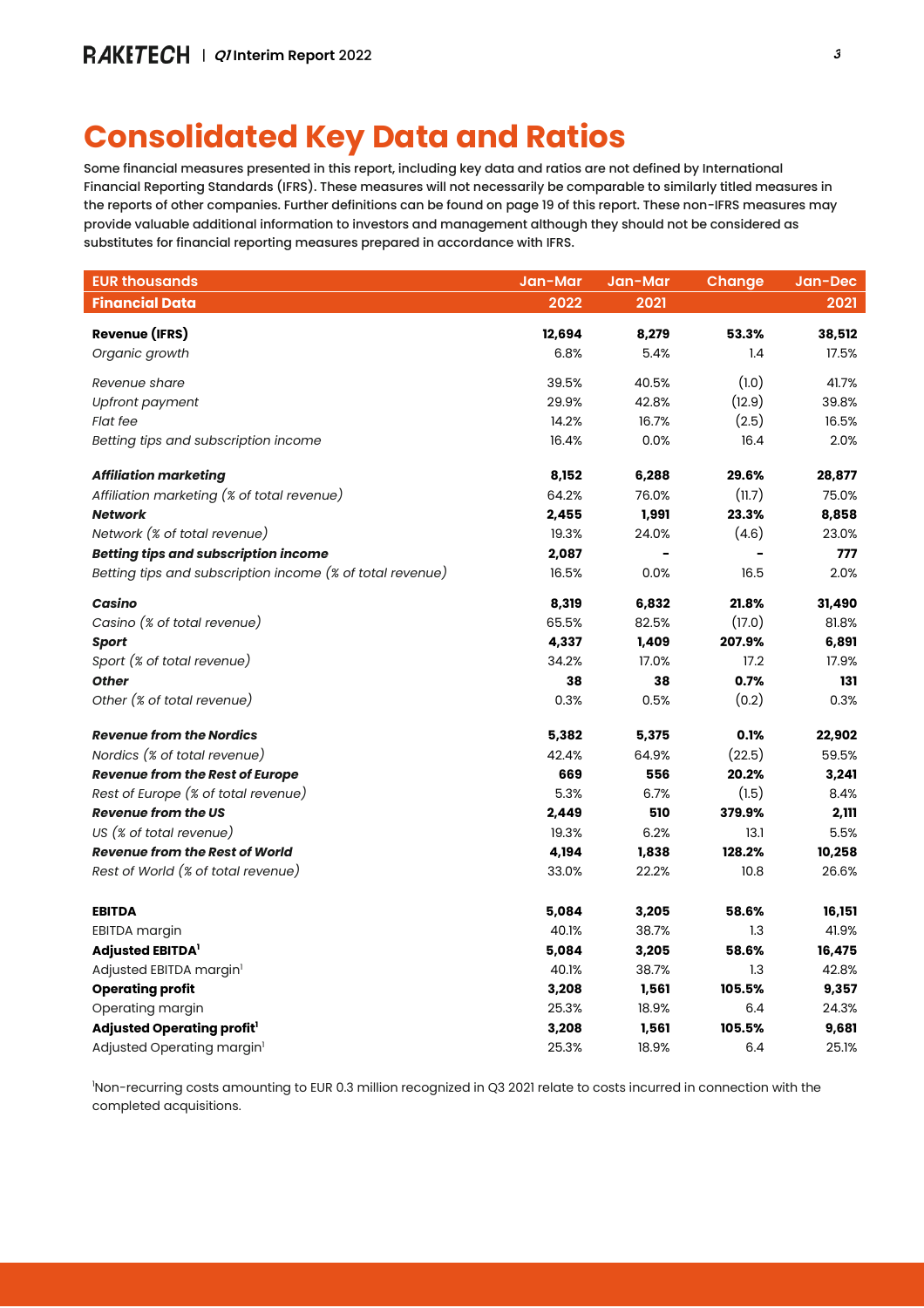## **Consolidated Key Data and Ratios**

Some financial measures presented in this report, including key data and ratios are not defined by International Financial Reporting Standards (IFRS). These measures will not necessarily be comparable to similarly titled measures in the reports of other companies. Further definitions can be found on page 19 of this report. These non-IFRS measures may provide valuable additional information to investors and management although they should not be considered as substitutes for financial reporting measures prepared in accordance with IFRS.

| <b>EUR thousands</b>                                      | Jan-Mar | Jan-Mar | <b>Change</b>   | Jan-Dec |
|-----------------------------------------------------------|---------|---------|-----------------|---------|
| <b>Financial Data</b>                                     | 2022    | 2021    |                 | 2021    |
| <b>Revenue (IFRS)</b>                                     | 12,694  | 8,279   | 53.3%           | 38,512  |
| Organic growth                                            | 6.8%    | 5.4%    | 1.4             | 17.5%   |
|                                                           |         |         |                 |         |
| Revenue share                                             | 39.5%   | 40.5%   | (1.0)<br>(12.9) | 41.7%   |
| Upfront payment                                           | 29.9%   | 42.8%   |                 | 39.8%   |
| <b>Flat fee</b>                                           | 14.2%   | 16.7%   | (2.5)           | 16.5%   |
| Betting tips and subscription income                      | 16.4%   | 0.0%    | 16.4            | 2.0%    |
| <b>Affiliation marketing</b>                              | 8,152   | 6,288   | 29.6%           | 28,877  |
| Affiliation marketing (% of total revenue)                | 64.2%   | 76.0%   | (11.7)          | 75.0%   |
| <b>Network</b>                                            | 2,455   | 1,991   | 23.3%           | 8,858   |
| Network (% of total revenue)                              | 19.3%   | 24.0%   | (4.6)           | 23.0%   |
| <b>Betting tips and subscription income</b>               | 2,087   |         |                 | 777     |
| Betting tips and subscription income (% of total revenue) | 16.5%   | 0.0%    | 16.5            | 2.0%    |
| Casino                                                    | 8,319   | 6,832   | 21.8%           | 31,490  |
| Casino (% of total revenue)                               | 65.5%   | 82.5%   | (17.0)          | 81.8%   |
| <b>Sport</b>                                              | 4,337   | 1,409   | 207.9%          | 6,891   |
| Sport (% of total revenue)                                | 34.2%   | 17.0%   | 17.2            | 17.9%   |
| <b>Other</b>                                              | 38      | 38      | 0.7%            | 131     |
| Other (% of total revenue)                                | 0.3%    | 0.5%    | (0.2)           | 0.3%    |
| <b>Revenue from the Nordics</b>                           | 5,382   | 5,375   | 0.1%            | 22,902  |
| Nordics (% of total revenue)                              | 42.4%   | 64.9%   | (22.5)          | 59.5%   |
| <b>Revenue from the Rest of Europe</b>                    | 669     | 556     | 20.2%           | 3,241   |
| Rest of Europe (% of total revenue)                       | 5.3%    | 6.7%    | (1.5)           | 8.4%    |
| <b>Revenue from the US</b>                                | 2,449   | 510     | 379.9%          | 2,111   |
| US (% of total revenue)                                   | 19.3%   | 6.2%    | 13.1            | 5.5%    |
| <b>Revenue from the Rest of World</b>                     | 4,194   | 1,838   | 128.2%          | 10,258  |
| Rest of World (% of total revenue)                        | 33.0%   | 22.2%   | 10.8            | 26.6%   |
| <b>EBITDA</b>                                             | 5,084   | 3,205   | 58.6%           | 16,151  |
| EBITDA margin                                             | 40.1%   | 38.7%   | 1.3             | 41.9%   |
| <b>Adjusted EBITDA</b>                                    | 5,084   | 3,205   | 58.6%           | 16,475  |
| Adjusted EBITDA margin <sup>1</sup>                       | 40.1%   | 38.7%   | 1.3             | 42.8%   |
| <b>Operating profit</b>                                   | 3,208   | 1,561   | 105.5%          | 9,357   |
| Operating margin                                          | 25.3%   | 18.9%   | 6.4             | 24.3%   |
| Adjusted Operating profit <sup>1</sup>                    | 3,208   | 1,561   | 105.5%          | 9,681   |
| Adjusted Operating margin <sup>1</sup>                    | 25.3%   | 18.9%   | 6.4             | 25.1%   |

<sup>1</sup>Non-recurring costs amounting to EUR 0.3 million recognized in Q3 2021 relate to costs incurred in connection with the completed acquisitions.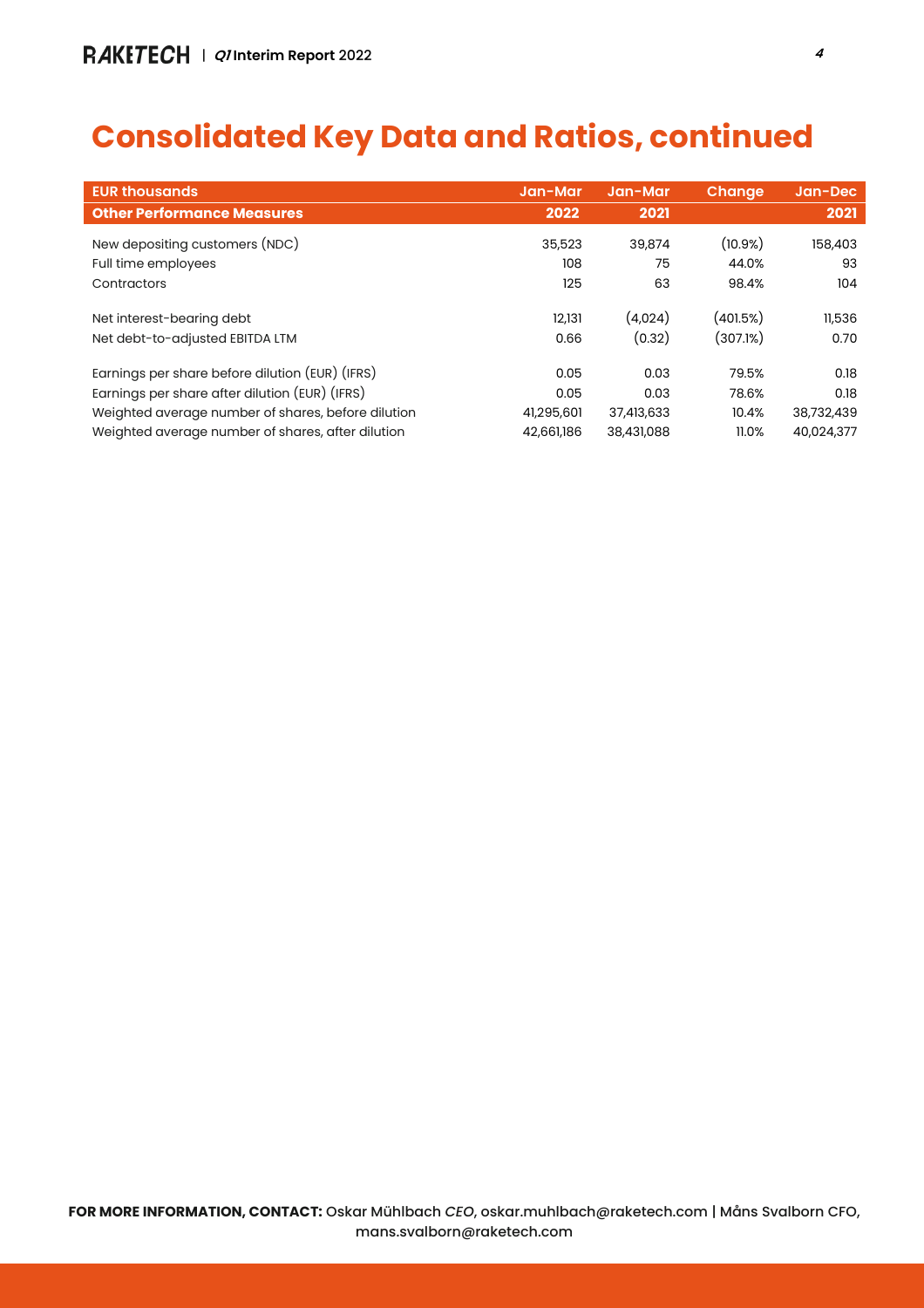## **Consolidated Key Data and Ratios, continued**

| <b>EUR thousands</b>                                         | Jan-Mar        | Jan-Mar           | <b>Change</b>        | Jan-Dec        |
|--------------------------------------------------------------|----------------|-------------------|----------------------|----------------|
| <b>Other Performance Measures</b>                            | 2022           | 2021              |                      | 2021           |
| New depositing customers (NDC)                               | 35,523         | 39,874            | $(10.9\%)$           | 158,403        |
| Full time employees                                          | 108            | 75                | 44.0%                | 93             |
| Contractors                                                  | 125            | 63                | 98.4%                | 104            |
| Net interest-bearing debt<br>Net debt-to-adjusted EBITDA LTM | 12,131<br>0.66 | (4,024)<br>(0.32) | (401.5%)<br>(307.1%) | 11,536<br>0.70 |
| Earnings per share before dilution (EUR) (IFRS)              | 0.05           | 0.03              | 79.5%                | 0.18           |
| Earnings per share after dilution (EUR) (IFRS)               | 0.05           | 0.03              | 78.6%                | 0.18           |
| Weighted average number of shares, before dilution           | 41,295,601     | 37,413,633        | 10.4%                | 38,732,439     |
| Weighted average number of shares, after dilution            | 42,661,186     | 38,431,088        | 11.0%                | 40,024,377     |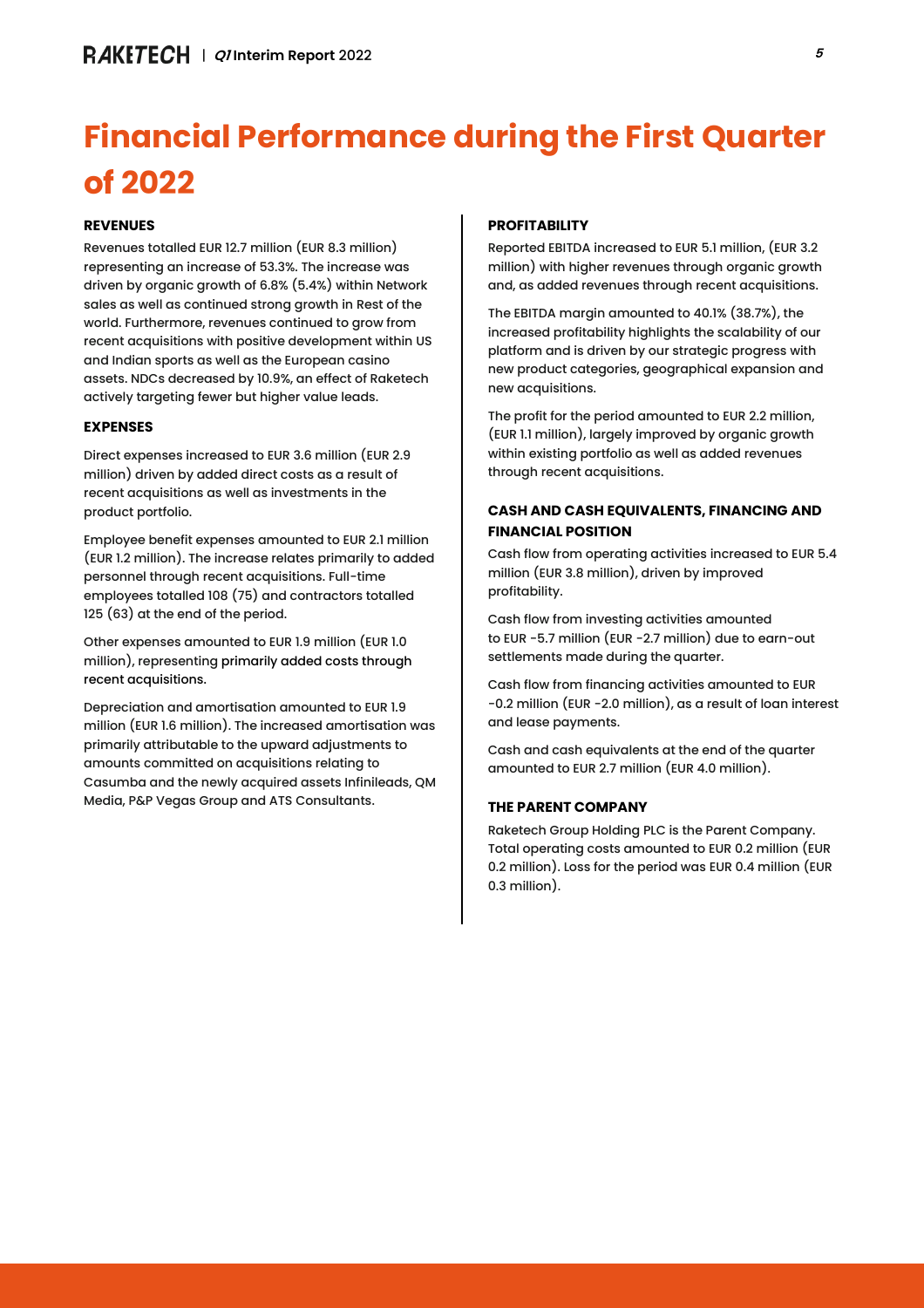# **Financial Performance during the First Quarter of 2022**

## **REVENUES**

Revenues totalled EUR 12.7 million (EUR 8.3 million) representing an increase of 53.3%. The increase was driven by organic growth of 6.8% (5.4%) within Network sales as well as continued strong growth in Rest of the world. Furthermore, revenues continued to grow from recent acquisitions with positive development within US and Indian sports as well as the European casino assets. NDCs decreased by 10.9%, an effect of Raketech actively targeting fewer but higher value leads.

## **EXPENSES**

Direct expenses increased to EUR 3.6 million (EUR 2.9 million) driven by added direct costs as a result of recent acquisitions as well as investments in the product portfolio.

Employee benefit expenses amounted to EUR 2.1 million (EUR 1.2 million). The increase relates primarily to added personnel through recent acquisitions. Full-time employees totalled 108 (75) and contractors totalled 125 (63) at the end of the period.

Other expenses amounted to EUR 1.9 million (EUR 1.0 million), representing primarily added costs through recent acquisitions.

Depreciation and amortisation amounted to EUR 1.9 million (EUR 1.6 million). The increased amortisation was primarily attributable to the upward adjustments to amounts committed on acquisitions relating to Casumba and the newly acquired assets Infinileads, QM Media, P&P Vegas Group and ATS Consultants.

## **PROFITABILITY**

Reported EBITDA increased to EUR 5.1 million, (EUR 3.2 million) with higher revenues through organic growth and, as added revenues through recent acquisitions.

The EBITDA margin amounted to 40.1% (38.7%), the increased profitability highlights the scalability of our platform and is driven by our strategic progress with new product categories, geographical expansion and new acquisitions.

The profit for the period amounted to EUR 2.2 million, (EUR 1.1 million), largely improved by organic growth within existing portfolio as well as added revenues through recent acquisitions.

## **CASH AND CASH EQUIVALENTS, FINANCING AND FINANCIAL POSITION**

Cash flow from operating activities increased to EUR 5.4 million (EUR 3.8 million), driven by improved profitability.

Cash flow from investing activities amounted to EUR -5.7 million (EUR -2.7 million) due to earn-out settlements made during the quarter.

Cash flow from financing activities amounted to EUR -0.2 million (EUR -2.0 million), as a result of loan interest and lease payments.

Cash and cash equivalents at the end of the quarter amounted to EUR 2.7 million (EUR 4.0 million).

## **THE PARENT COMPANY**

Raketech Group Holding PLC is the Parent Company. Total operating costs amounted to EUR 0.2 million (EUR 0.2 million). Loss for the period was EUR 0.4 million (EUR 0.3 million).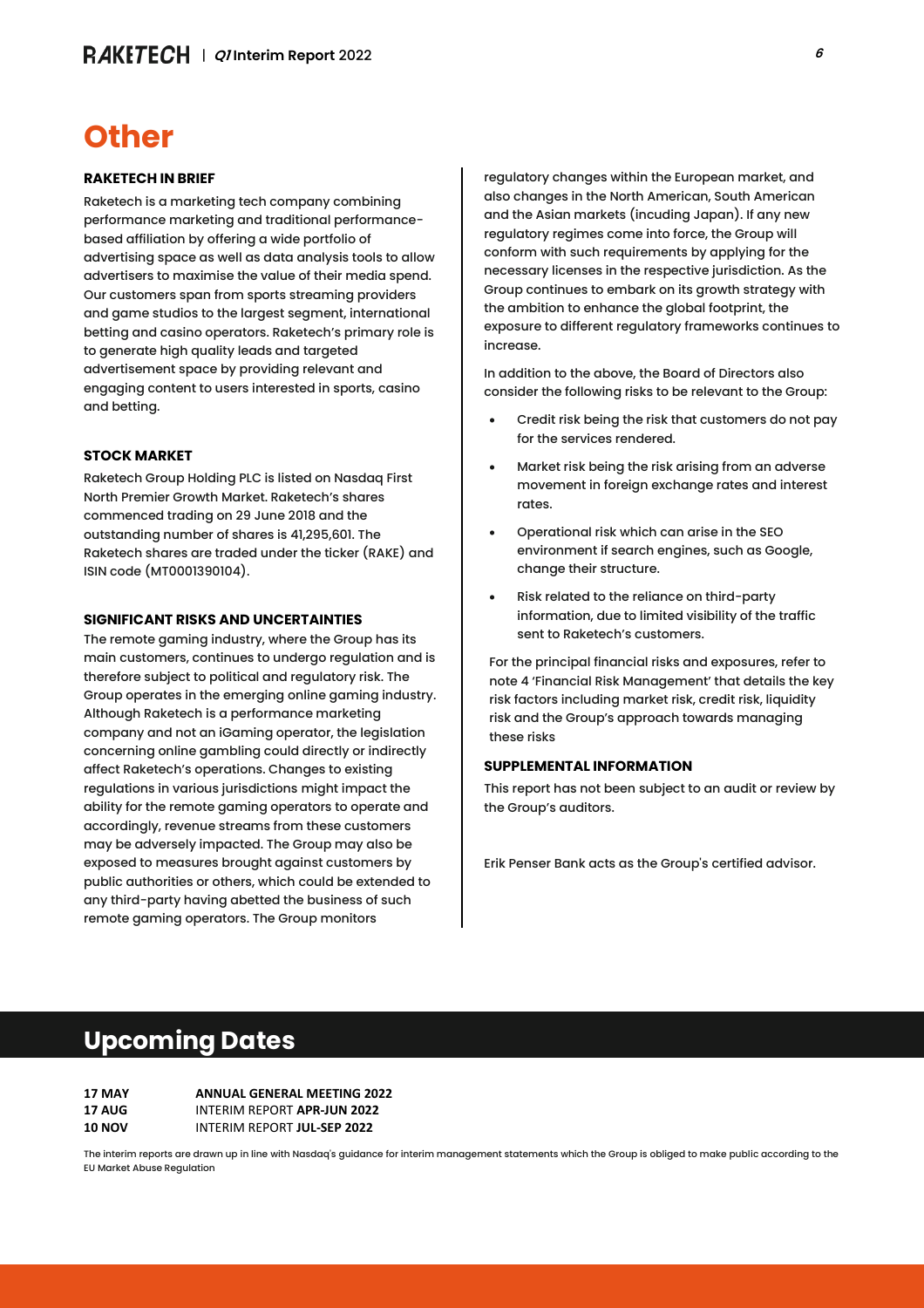## **Other**

#### **RAKETECH IN BRIEF**

Raketech is a marketing tech company combining performance marketing and traditional performancebased affiliation by offering a wide portfolio of advertising space as well as data analysis tools to allow advertisers to maximise the value of their media spend. Our customers span from sports streaming providers and game studios to the largest segment, international betting and casino operators. Raketech's primary role is to generate high quality leads and targeted advertisement space by providing relevant and engaging content to users interested in sports, casino and betting.

#### **STOCK MARKET**

Raketech Group Holding PLC is listed on Nasdaq First North Premier Growth Market. Raketech's shares commenced trading on 29 June 2018 and the outstanding number of shares is 41,295,601. The Raketech shares are traded under the ticker (RAKE) and ISIN code (MT0001390104).

## **SIGNIFICANT RISKS AND UNCERTAINTIES**

The remote gaming industry, where the Group has its main customers, continues to undergo regulation and is therefore subject to political and regulatory risk. The Group operates in the emerging online gaming industry. Although Raketech is a performance marketing company and not an iGaming operator, the legislation concerning online gambling could directly or indirectly affect Raketech's operations. Changes to existing regulations in various jurisdictions might impact the ability for the remote gaming operators to operate and accordingly, revenue streams from these customers may be adversely impacted. The Group may also be exposed to measures brought against customers by public authorities or others, which could be extended to any third-party having abetted the business of such remote gaming operators. The Group monitors

regulatory changes within the European market, and also changes in the North American, South American and the Asian markets (incuding Japan). If any new regulatory regimes come into force, the Group will conform with such requirements by applying for the necessary licenses in the respective jurisdiction. As the Group continues to embark on its growth strategy with the ambition to enhance the global footprint, the exposure to different regulatory frameworks continues to increase.

In addition to the above, the Board of Directors also consider the following risks to be relevant to the Group:

- Credit risk being the risk that customers do not pay for the services rendered.
- Market risk being the risk arising from an adverse movement in foreign exchange rates and interest rates.
- Operational risk which can arise in the SEO environment if search engines, such as Google, change their structure.
- Risk related to the reliance on third-party information, due to limited visibility of the traffic sent to Raketech's customers.

For the principal financial risks and exposures, refer to note 4 'Financial Risk Management' that details the key risk factors including market risk, credit risk, liquidity risk and the Group's approach towards managing these risks

#### **SUPPLEMENTAL INFORMATION**

This report has not been subject to an audit or review by the Group's auditors.

Erik Penser Bank acts as the Group's certified advisor.

## **Upcoming Dates**

| <b>17 MAY</b> | <b>ANNUAL GENERAL MEETING 2022</b> |
|---------------|------------------------------------|
| <b>17 AUG</b> | INTERIM REPORT APR-JUN 2022        |
| <b>10 NOV</b> | INTERIM REPORT JUL-SEP 2022        |

The interim reports are drawn up in line with Nasdaq's guidance for interim management statements which the Group is obliged to make public according to the EU Market Abuse Regulation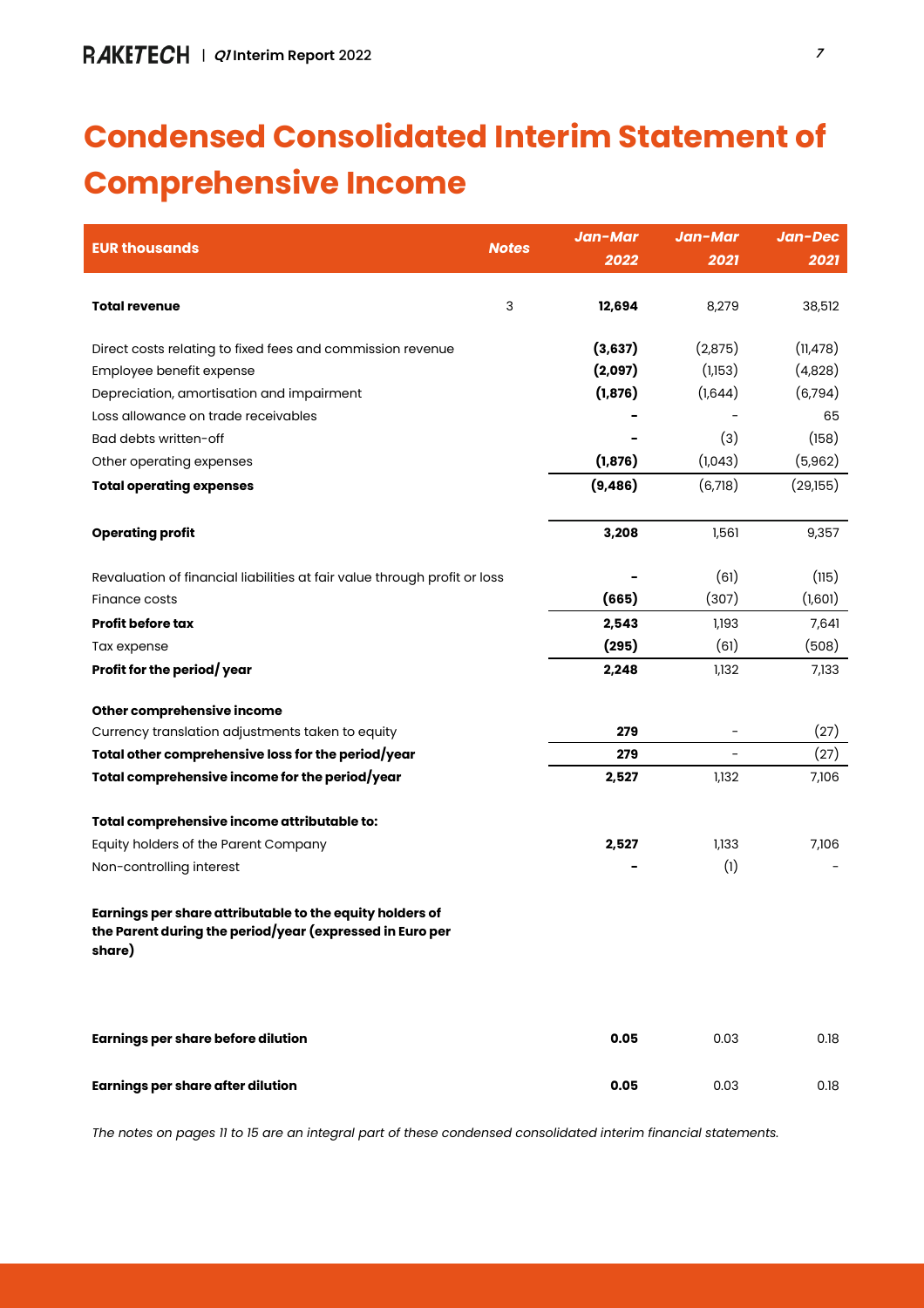# **Condensed Consolidated Interim Statement of Comprehensive Income**

|                                                                                                                                |              | Jan-Mar  | Jan-Mar | Jan-Dec   |
|--------------------------------------------------------------------------------------------------------------------------------|--------------|----------|---------|-----------|
| <b>EUR thousands</b>                                                                                                           | <b>Notes</b> | 2022     | 2021    | 2021      |
|                                                                                                                                |              |          |         |           |
| <b>Total revenue</b>                                                                                                           | 3            | 12,694   | 8,279   | 38,512    |
|                                                                                                                                |              |          |         |           |
| Direct costs relating to fixed fees and commission revenue                                                                     |              | (3,637)  | (2,875) | (11, 478) |
| Employee benefit expense                                                                                                       |              | (2,097)  | (1,153) | (4,828)   |
| Depreciation, amortisation and impairment                                                                                      |              | (1, 876) | (1,644) | (6,794)   |
| Loss allowance on trade receivables                                                                                            |              |          |         | 65        |
| Bad debts written-off                                                                                                          |              |          | (3)     | (158)     |
| Other operating expenses                                                                                                       |              | (1, 876) | (1,043) | (5,962)   |
| <b>Total operating expenses</b>                                                                                                |              | (9, 486) | (6,718) | (29,155)  |
|                                                                                                                                |              |          |         |           |
| <b>Operating profit</b>                                                                                                        |              | 3,208    | 1,561   | 9,357     |
| Revaluation of financial liabilities at fair value through profit or loss                                                      |              |          | (61)    | (115)     |
| Finance costs                                                                                                                  |              | (665)    | (307)   | (1,601)   |
| <b>Profit before tax</b>                                                                                                       |              | 2,543    | 1,193   | 7,641     |
| Tax expense                                                                                                                    |              | (295)    | (61)    | (508)     |
| Profit for the period/year                                                                                                     |              | 2,248    | 1,132   | 7,133     |
| Other comprehensive income                                                                                                     |              |          |         |           |
| Currency translation adjustments taken to equity                                                                               |              | 279      |         | (27)      |
| Total other comprehensive loss for the period/year                                                                             |              | 279      |         | (27)      |
| Total comprehensive income for the period/year                                                                                 |              | 2,527    | 1,132   | 7,106     |
| Total comprehensive income attributable to:                                                                                    |              |          |         |           |
| Equity holders of the Parent Company                                                                                           |              | 2,527    | 1,133   | 7,106     |
| Non-controlling interest                                                                                                       |              |          | (1)     |           |
| Earnings per share attributable to the equity holders of<br>the Parent during the period/year (expressed in Euro per<br>share) |              |          |         |           |
| <b>Earnings per share before dilution</b>                                                                                      |              | 0.05     | 0.03    | 0.18      |
| <b>Earnings per share after dilution</b>                                                                                       |              | 0.05     | 0.03    | 0.18      |

The notes on pages 11 to 15 are an integral part of these condensed consolidated interim financial statements.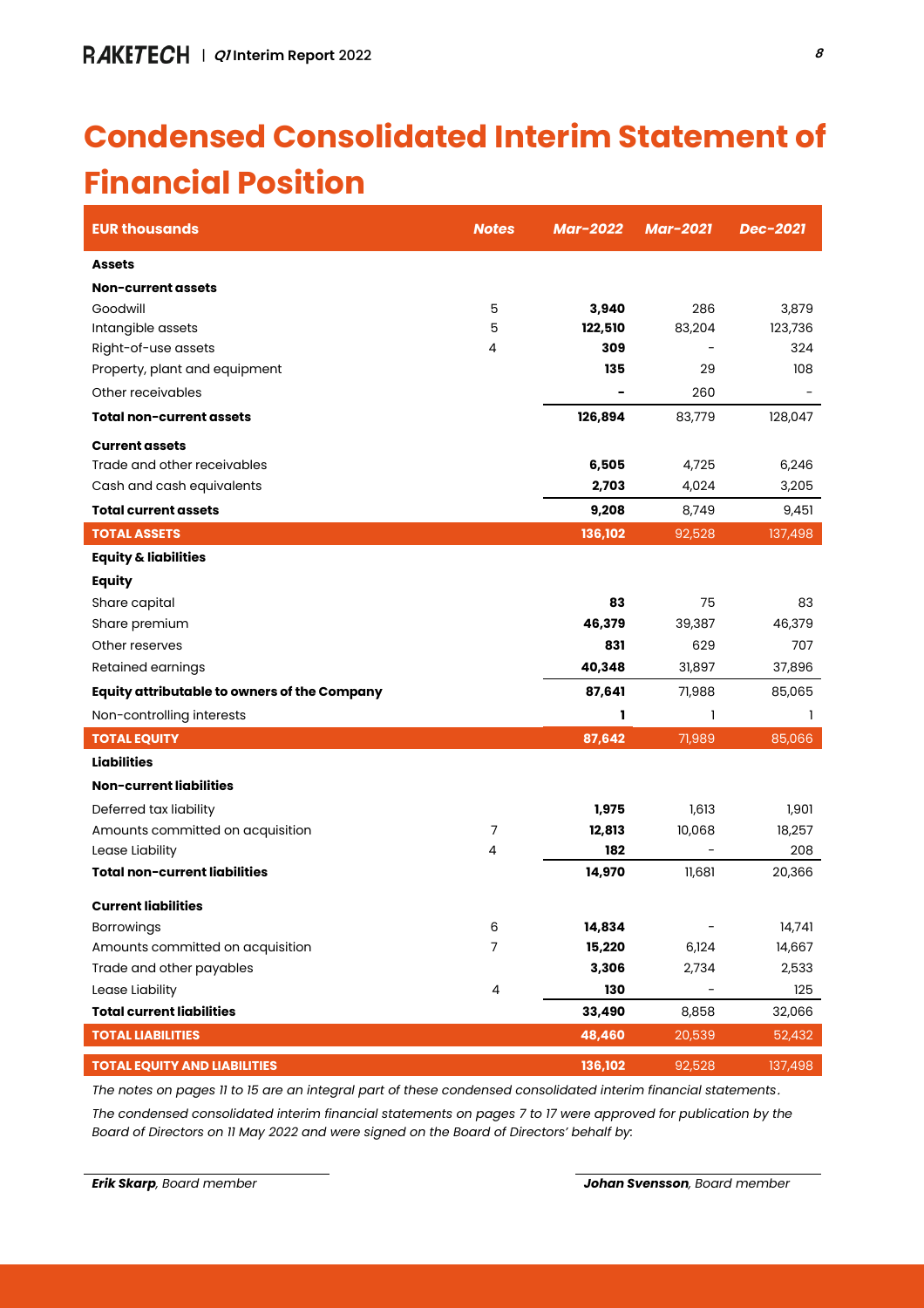## **Condensed Consolidated Interim Statement of Financial Position**

| <b>EUR thousands</b>                         | <b>Notes</b> | <b>Mar-2022</b> | <b>Mar-2021</b> | Dec-2021 |
|----------------------------------------------|--------------|-----------------|-----------------|----------|
| <b>Assets</b>                                |              |                 |                 |          |
| Non-current assets                           |              |                 |                 |          |
| Goodwill                                     | 5            | 3,940           | 286             | 3,879    |
| Intangible assets                            | 5            | 122,510         | 83,204          | 123,736  |
| Right-of-use assets                          | 4            | 309             |                 | 324      |
| Property, plant and equipment                |              | 135             | 29              | 108      |
| Other receivables                            |              |                 | 260             |          |
| <b>Total non-current assets</b>              |              | 126,894         | 83,779          | 128,047  |
| <b>Current assets</b>                        |              |                 |                 |          |
| Trade and other receivables                  |              | 6,505           | 4,725           | 6,246    |
| Cash and cash equivalents                    |              | 2,703           | 4,024           | 3,205    |
| <b>Total current assets</b>                  |              | 9,208           | 8,749           | 9,451    |
| <b>TOTAL ASSETS</b>                          |              | 136,102         | 92,528          | 137,498  |
| <b>Equity &amp; liabilities</b>              |              |                 |                 |          |
| <b>Equity</b>                                |              |                 |                 |          |
| Share capital                                |              | 83              | 75              | 83       |
| Share premium                                |              | 46,379          | 39,387          | 46,379   |
| Other reserves                               |              | 831             | 629             | 707      |
| Retained earnings                            |              | 40,348          | 31,897          | 37,896   |
| Equity attributable to owners of the Company |              | 87,641          | 71,988          | 85,065   |
| Non-controlling interests                    |              | ı               | 1               | 1        |
| <b>TOTAL EQUITY</b>                          |              | 87,642          | 71,989          | 85,066   |
| <b>Liabilities</b>                           |              |                 |                 |          |
| <b>Non-current liabilities</b>               |              |                 |                 |          |
| Deferred tax liability                       |              | 1,975           | 1,613           | 1,901    |
| Amounts committed on acquisition             | 7            | 12,813          | 10,068          | 18,257   |
| Lease Liability                              | 4            | 182             |                 | 208      |
| <b>Total non-current liabilities</b>         |              | 14,970          | 11,681          | 20,366   |
| <b>Current liabilities</b>                   |              |                 |                 |          |
| Borrowings                                   | 6            | 14,834          |                 | 14,741   |
| Amounts committed on acquisition             | 7            | 15,220          | 6,124           | 14,667   |
| Trade and other payables                     |              | 3,306           | 2,734           | 2,533    |
| Lease Liability                              | 4            | 130             |                 | 125      |
| <b>Total current liabilities</b>             |              | 33,490          | 8,858           | 32,066   |
| <b>TOTAL LIABILITIES</b>                     |              | 48,460          | 20,539          | 52,432   |
| <b>TOTAL EQUITY AND LIABILITIES</b>          |              | 136,102         | 92,528          | 137,498  |

*The notes on pages 11 to 15 are an integral part of these condensed consolidated interim financial statements*.

*The condensed consolidated interim financial statements on pages 7 to 17 were approved for publication by the Board of Directors on 11 May 2022 and were signed on the Board of Directors' behalf by:*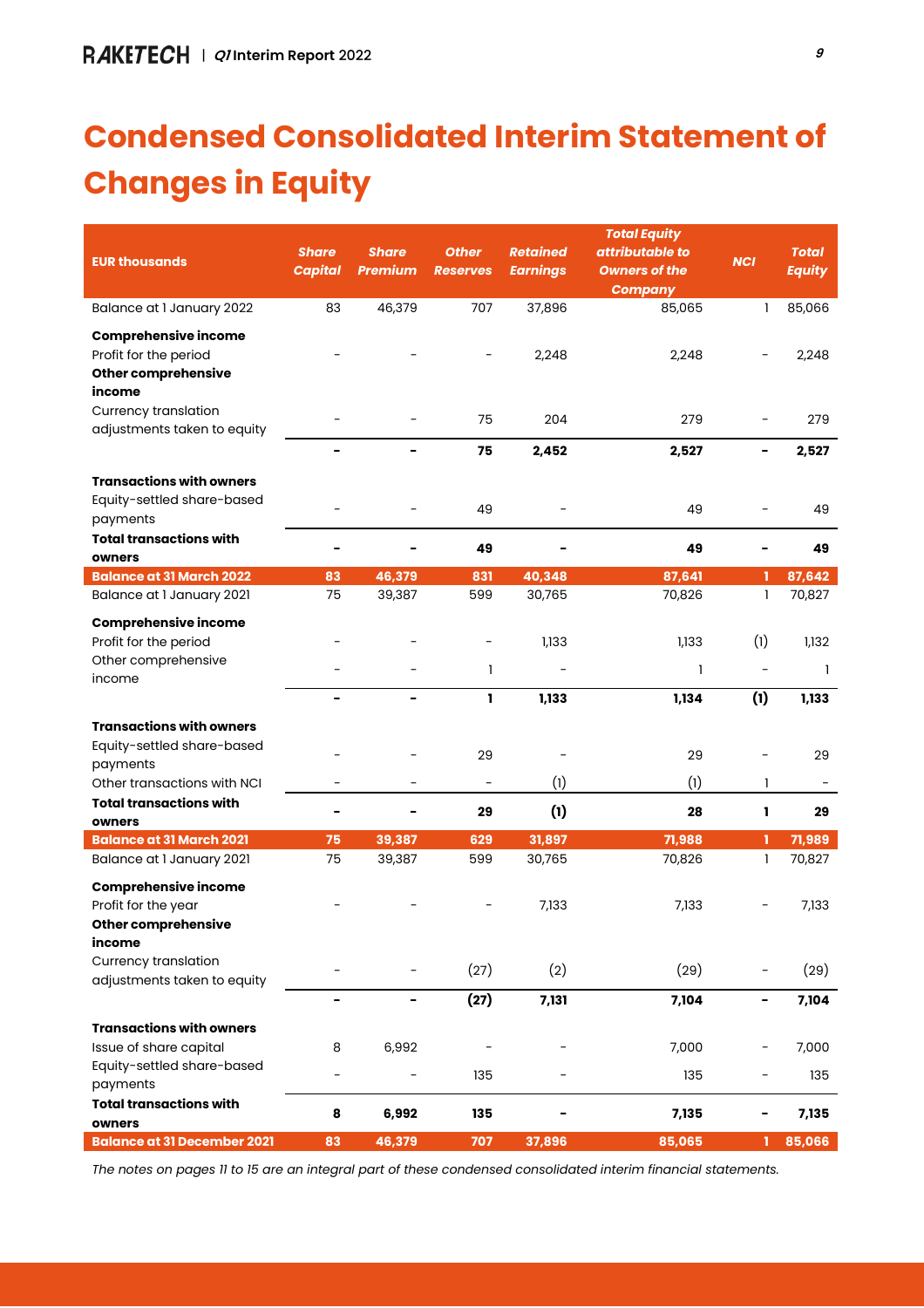# **Condensed Consolidated Interim Statement of Changes in Equity**

|                                                            |              |                  |                          |                  | <b>Total Equity</b>  |                              |                  |
|------------------------------------------------------------|--------------|------------------|--------------------------|------------------|----------------------|------------------------------|------------------|
| <b>EUR thousands</b>                                       | <b>Share</b> | <b>Share</b>     | <b>Other</b>             | <b>Retained</b>  | attributable to      | <b>NCI</b>                   | <b>Total</b>     |
|                                                            | Capital      | <b>Premium</b>   | <b>Reserves</b>          | <b>Earnings</b>  | <b>Owners of the</b> |                              | <b>Equity</b>    |
|                                                            |              |                  |                          |                  | <b>Company</b>       |                              |                  |
| Balance at 1 January 2022                                  | 83           | 46,379           | 707                      | 37,896           | 85,065               | 1                            | 85,066           |
| <b>Comprehensive income</b>                                |              |                  |                          |                  |                      |                              |                  |
| Profit for the period                                      |              |                  |                          | 2,248            | 2,248                |                              | 2,248            |
| <b>Other comprehensive</b>                                 |              |                  |                          |                  |                      |                              |                  |
| income                                                     |              |                  |                          |                  |                      |                              |                  |
| Currency translation                                       |              |                  | 75                       | 204              | 279                  | $\overline{\phantom{0}}$     | 279              |
| adjustments taken to equity                                |              |                  |                          |                  |                      |                              |                  |
|                                                            | -            | $\blacksquare$   | 75                       | 2,452            | 2,527                | -                            | 2,527            |
| <b>Transactions with owners</b>                            |              |                  |                          |                  |                      |                              |                  |
| Equity-settled share-based                                 |              |                  |                          |                  |                      |                              |                  |
| payments                                                   |              |                  | 49                       |                  | 49                   | $\overline{a}$               | 49               |
| <b>Total transactions with</b>                             |              |                  |                          |                  |                      | $\blacksquare$               |                  |
| owners                                                     |              |                  | 49                       |                  | 49                   |                              | 49               |
| <b>Balance at 31 March 2022</b>                            | 83           | 46,379           | 831                      | 40,348           | 87,641               | п                            | 87,642           |
| Balance at I January 2021                                  | 75           | 39,387           | 599                      | 30,765           | 70,826               | 1                            | 70,827           |
| <b>Comprehensive income</b>                                |              |                  |                          |                  |                      |                              |                  |
| Profit for the period                                      |              |                  |                          | 1,133            | 1,133                | (1)                          | 1,132            |
| Other comprehensive                                        |              |                  | 1                        |                  | 1                    | $\overline{\phantom{0}}$     | 1                |
| income                                                     |              |                  |                          |                  |                      |                              |                  |
|                                                            |              | -                | 1                        | 1,133            | 1,134                | (1)                          | 1,133            |
| <b>Transactions with owners</b>                            |              |                  |                          |                  |                      |                              |                  |
| Equity-settled share-based                                 |              |                  |                          |                  |                      |                              |                  |
| payments                                                   |              |                  | 29                       |                  | 29                   |                              | 29               |
| Other transactions with NCI                                |              |                  | $\overline{\phantom{a}}$ | (1)              | (1)                  | 1                            |                  |
| <b>Total transactions with</b>                             |              |                  | 29                       | (1)              | 28                   | L                            | 29               |
| owners                                                     |              |                  |                          |                  |                      |                              |                  |
| <b>Balance at 31 March 2021</b>                            | 75<br>75     | 39,387<br>39,387 | 629<br>599               | 31,897<br>30,765 | 71,988<br>70,826     | 1<br>1                       | 71,989<br>70,827 |
| Balance at I January 2021                                  |              |                  |                          |                  |                      |                              |                  |
| <b>Comprehensive income</b>                                |              |                  |                          |                  |                      |                              |                  |
| Profit for the year                                        |              |                  |                          | 7,133            | 7,133                |                              | 7,133            |
| Other comprehensive                                        |              |                  |                          |                  |                      |                              |                  |
| income                                                     |              |                  |                          |                  |                      |                              |                  |
| <b>Currency translation</b><br>adjustments taken to equity |              |                  | (27)                     | (2)              | (29)                 |                              | (29)             |
|                                                            | Ξ.           | $\blacksquare$   | (27)                     | 7,131            | 7,104                | $\qquad \qquad \blacksquare$ | 7,104            |
|                                                            |              |                  |                          |                  |                      |                              |                  |
| <b>Transactions with owners</b>                            |              |                  |                          |                  |                      |                              |                  |
| Issue of share capital                                     | 8            | 6,992            |                          |                  | 7,000                |                              | 7,000            |
| Equity-settled share-based                                 | -            |                  | 135                      |                  | 135                  | -                            | 135              |
| payments                                                   |              |                  |                          |                  |                      |                              |                  |
| <b>Total transactions with</b><br>owners                   | 8            | 6,992            | 135                      |                  | 7,135                |                              | 7,135            |
| <b>Balance at 31 December 2021</b>                         | 83           | 46,379           | 707                      | 37,896           | 85,065               | 1                            | 85,066           |
|                                                            |              |                  |                          |                  |                      |                              |                  |

*The notes on pages 11 to 15 are an integral part of these condensed consolidated interim financial statements.*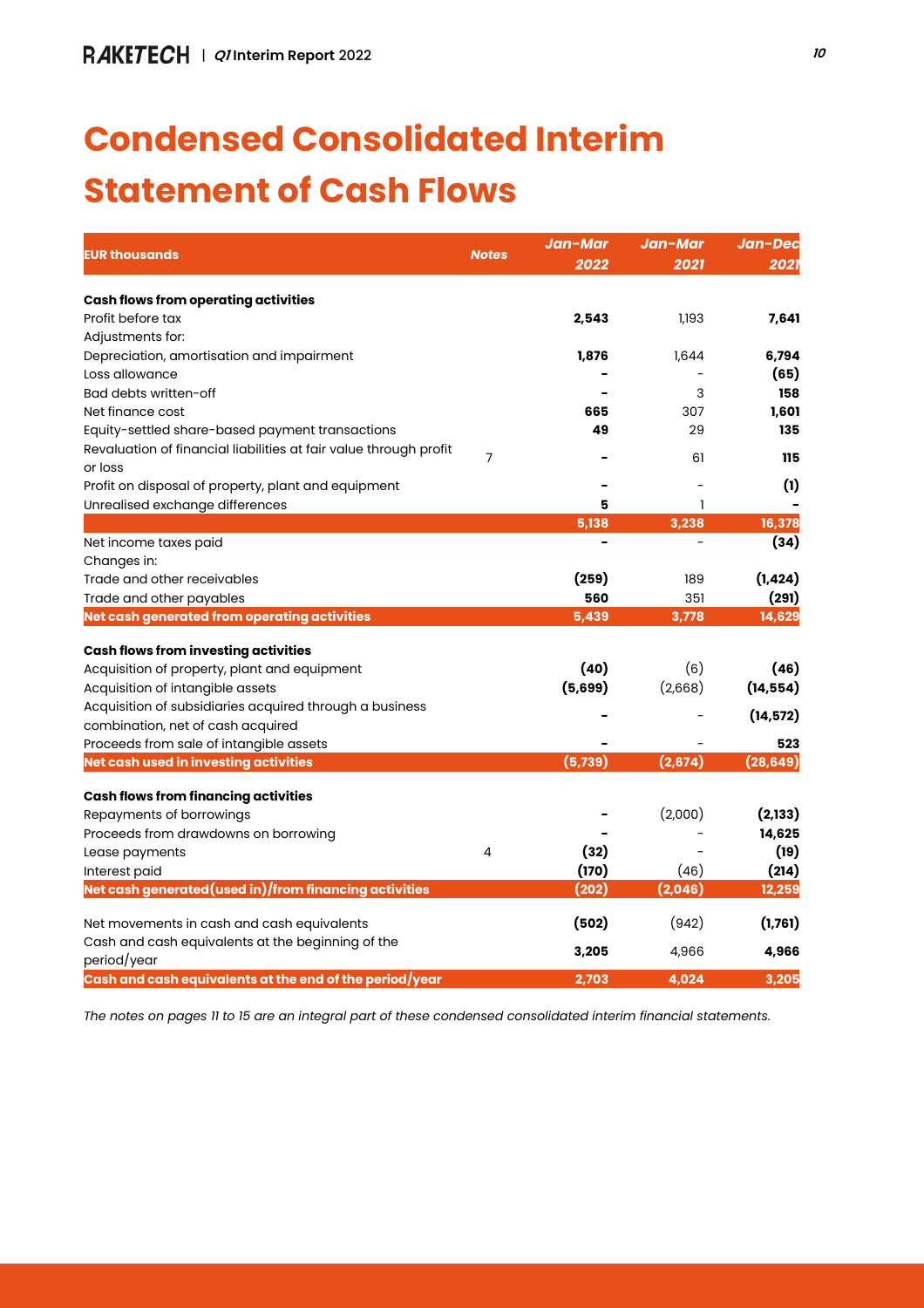# **Condensed Consolidated Interim Statement of Cash Flows**

| <b>EUR thousands</b>                                              | <b>Notes</b> | Jan-Mar | Jan-Mar | Jan-Dec   |  |
|-------------------------------------------------------------------|--------------|---------|---------|-----------|--|
|                                                                   |              | 2022    | 2021    | 2021      |  |
| <b>Cash flows from operating activities</b>                       |              |         |         |           |  |
| Profit before tax                                                 |              | 2,543   | 1,193   | 7,641     |  |
| Adjustments for:                                                  |              |         |         |           |  |
| Depreciation, amortisation and impairment                         |              | 1,876   | 1,644   | 6,794     |  |
| Loss allowance                                                    |              |         |         | (65)      |  |
| Bad debts written-off                                             |              |         | 3       | 158       |  |
| Net finance cost                                                  |              | 665     | 307     | 1,601     |  |
| Equity-settled share-based payment transactions                   |              | 49      | 29      | 135       |  |
| Revaluation of financial liabilities at fair value through profit | 7            |         | 61      | 115       |  |
| or loss                                                           |              |         |         |           |  |
| Profit on disposal of property, plant and equipment               |              |         |         | (1)       |  |
| Unrealised exchange differences                                   |              | 5       | ı       |           |  |
|                                                                   |              | 5,138   | 3,238   | 16,378    |  |
| Net income taxes paid                                             |              |         |         | (34)      |  |
| Changes in:                                                       |              |         |         |           |  |
| Trade and other receivables                                       |              | (259)   | 189     | (1, 424)  |  |
| Trade and other payables                                          |              | 560     | 351     | (291)     |  |
| Net cash generated from operating activities                      |              | 5,439   | 3,778   | 14,629    |  |
| <b>Cash flows from investing activities</b>                       |              |         |         |           |  |
| Acquisition of property, plant and equipment                      |              | (40)    | (6)     | (46)      |  |
| Acquisition of intangible assets                                  |              | (5,699) | (2,668) | (14, 554) |  |
| Acquisition of subsidiaries acquired through a business           |              |         |         | (14, 572) |  |
| combination, net of cash acquired                                 |              |         |         |           |  |
| Proceeds from sale of intangible assets                           |              |         |         | 523       |  |
| Net cash used in investing activities                             |              | (5,739) | (2,674) | (28, 649) |  |
| <b>Cash flows from financing activities</b>                       |              |         |         |           |  |
| Repayments of borrowings                                          |              |         | (2,000) | (2, 133)  |  |
| Proceeds from drawdowns on borrowing                              |              |         |         | 14,625    |  |
| Lease payments                                                    | 4            | (32)    |         | (19)      |  |
| Interest paid                                                     |              | (170)   | (46)    | (214)     |  |
| Net cash generated(used in)/from financing activities             |              | (202)   | (2,046) | 12,259    |  |
| Net movements in cash and cash equivalents                        |              | (502)   | (942)   | (1,761)   |  |
| Cash and cash equivalents at the beginning of the                 |              |         |         |           |  |
| period/year                                                       |              | 3,205   | 4,966   | 4,966     |  |
| Cash and cash equivalents at the end of the period/year           |              | 2,703   | 4,024   | 3,205     |  |

*The notes on pages 11 to 15 are an integral part of these condensed consolidated interim financial statements.*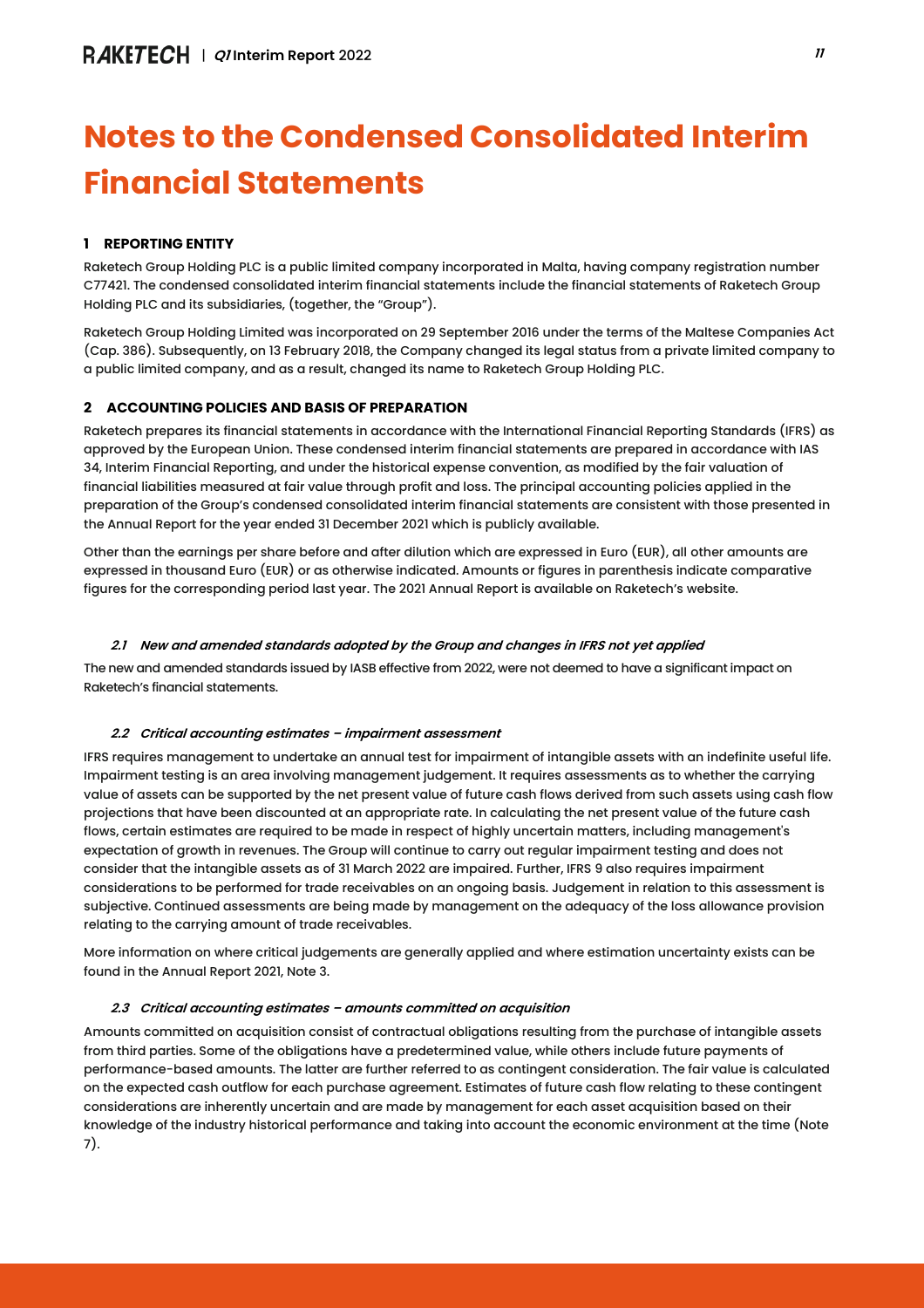## **Notes to the Condensed Consolidated Interim Financial Statements**

## **1 REPORTING ENTITY**

Raketech Group Holding PLC is a public limited company incorporated in Malta, having company registration number C77421. The condensed consolidated interim financial statements include the financial statements of Raketech Group Holding PLC and its subsidiaries, (together, the "Group").

Raketech Group Holding Limited was incorporated on 29 September 2016 under the terms of the Maltese Companies Act (Cap. 386). Subsequently, on 13 February 2018, the Company changed its legal status from a private limited company to a public limited company, and as a result, changed its name to Raketech Group Holding PLC.

## **2 ACCOUNTING POLICIES AND BASIS OF PREPARATION**

Raketech prepares its financial statements in accordance with the International Financial Reporting Standards (IFRS) as approved by the European Union. These condensed interim financial statements are prepared in accordance with IAS 34, Interim Financial Reporting, and under the historical expense convention, as modified by the fair valuation of financial liabilities measured at fair value through profit and loss. The principal accounting policies applied in the preparation of the Group's condensed consolidated interim financial statements are consistent with those presented in the Annual Report for the year ended 31 December 2021 which is publicly available.

Other than the earnings per share before and after dilution which are expressed in Euro (EUR), all other amounts are expressed in thousand Euro (EUR) or as otherwise indicated. Amounts or figures in parenthesis indicate comparative figures for the corresponding period last year. The 2021 Annual Report is available on Raketech's website.

## *2.1 New and amended standards adopted by the Group and changes in IFRS not yet applied*

The new and amended standards issued by IASB effective from 2022, were not deemed to have a significant impact on Raketech's financial statements.

## *2.2 Critical accounting estimates – impairment assessment*

IFRS requires management to undertake an annual test for impairment of intangible assets with an indefinite useful life. Impairment testing is an area involving management judgement. It requires assessments as to whether the carrying value of assets can be supported by the net present value of future cash flows derived from such assets using cash flow projections that have been discounted at an appropriate rate. In calculating the net present value of the future cash flows, certain estimates are required to be made in respect of highly uncertain matters, including management's expectation of growth in revenues. The Group will continue to carry out regular impairment testing and does not consider that the intangible assets as of 31 March 2022 are impaired. Further, IFRS 9 also requires impairment considerations to be performed for trade receivables on an ongoing basis. Judgement in relation to this assessment is subjective. Continued assessments are being made by management on the adequacy of the loss allowance provision relating to the carrying amount of trade receivables.

More information on where critical judgements are generally applied and where estimation uncertainty exists can be found in the Annual Report 2021, Note 3.

## *2.3 Critical accounting estimates – amounts committed on acquisition*

Amounts committed on acquisition consist of contractual obligations resulting from the purchase of intangible assets from third parties. Some of the obligations have a predetermined value, while others include future payments of performance-based amounts. The latter are further referred to as contingent consideration. The fair value is calculated on the expected cash outflow for each purchase agreement. Estimates of future cash flow relating to these contingent considerations are inherently uncertain and are made by management for each asset acquisition based on their knowledge of the industry historical performance and taking into account the economic environment at the time (Note 7).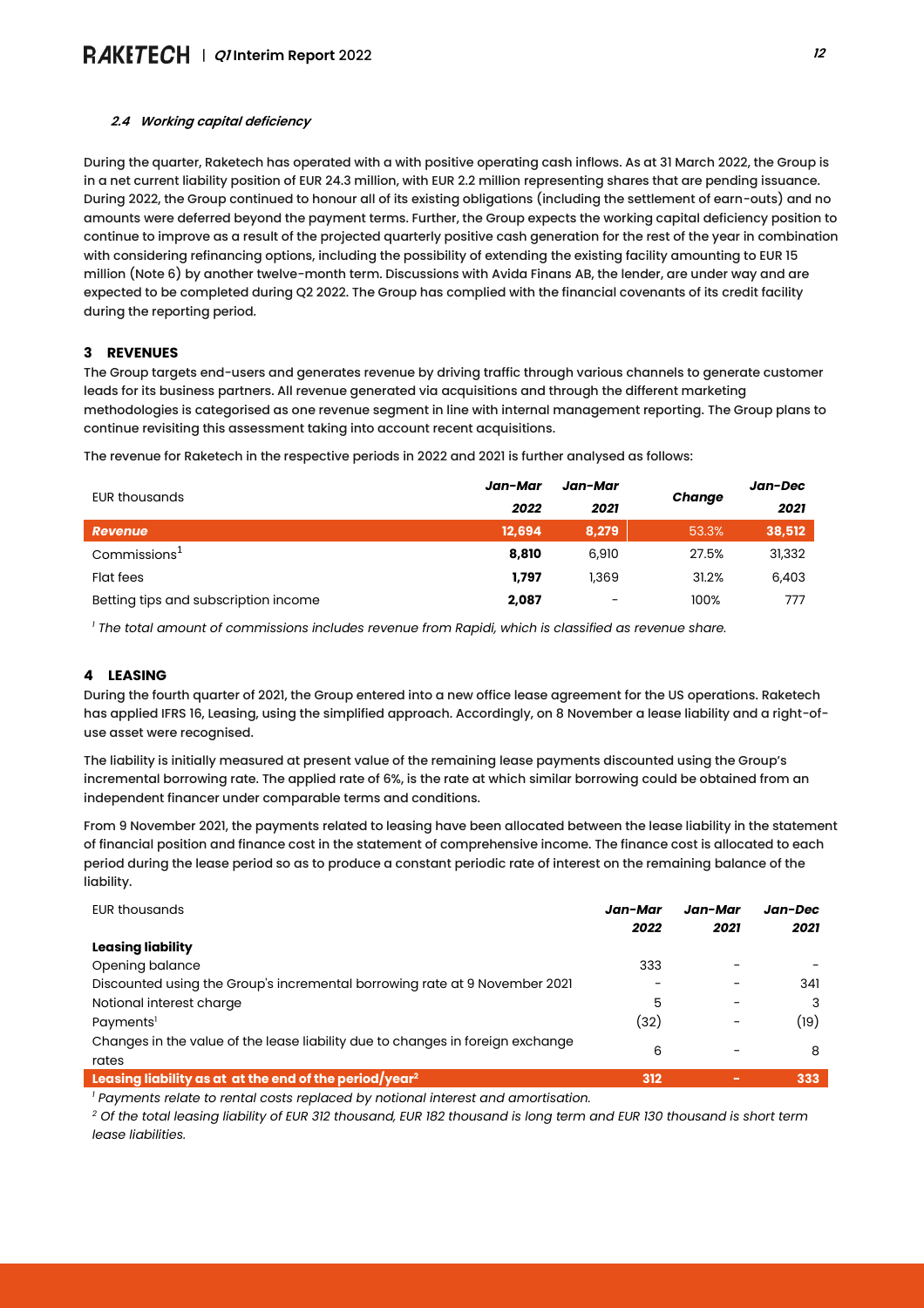## *2.4 Working capital deficiency*

During the quarter, Raketech has operated with a with positive operating cash inflows. As at 31 March 2022, the Group is in a net current liability position of EUR 24.3 million, with EUR 2.2 million representing shares that are pending issuance. During 2022, the Group continued to honour all of its existing obligations (including the settlement of earn-outs) and no amounts were deferred beyond the payment terms. Further, the Group expects the working capital deficiency position to continue to improve as a result of the projected quarterly positive cash generation for the rest of the year in combination with considering refinancing options, including the possibility of extending the existing facility amounting to EUR 15 million (Note 6) by another twelve-month term. Discussions with Avida Finans AB, the lender, are under way and are expected to be completed during Q2 2022. The Group has complied with the financial covenants of its credit facility during the reporting period.

#### **3 REVENUES**

The Group targets end-users and generates revenue by driving traffic through various channels to generate customer leads for its business partners. All revenue generated via acquisitions and through the different marketing methodologies is categorised as one revenue segment in line with internal management reporting. The Group plans to continue revisiting this assessment taking into account recent acquisitions.

The revenue for Raketech in the respective periods in 2022 and 2021 is further analysed as follows:

| EUR thousands                        | Jan-Mar | Jan-Mar                      |        | Jan-Dec |
|--------------------------------------|---------|------------------------------|--------|---------|
|                                      | 2022    | 2021                         | Change | 2021    |
| Revenue                              | 12,694  | 8,279                        | 53.3%  | 38,512  |
| Commissions <sup>1</sup>             | 8,810   | 6,910                        | 27.5%  | 31,332  |
| Flat fees                            | 1.797   | 1,369                        | 31.2%  | 6,403   |
| Betting tips and subscription income | 2,087   | $\qquad \qquad \blacksquare$ | 100%   | 777     |

*<sup>1</sup> The total amount of commissions includes revenue from Rapidi, which is classified as revenue share.*

## **4 LEASING**

During the fourth quarter of 2021, the Group entered into a new office lease agreement for the US operations. Raketech has applied IFRS 16, Leasing, using the simplified approach. Accordingly, on 8 November a lease liability and a right-ofuse asset were recognised.

The liability is initially measured at present value of the remaining lease payments discounted using the Group's incremental borrowing rate. The applied rate of 6%, is the rate at which similar borrowing could be obtained from an independent financer under comparable terms and conditions.

From 9 November 2021, the payments related to leasing have been allocated between the lease liability in the statement of financial position and finance cost in the statement of comprehensive income. The finance cost is allocated to each period during the lease period so as to produce a constant periodic rate of interest on the remaining balance of the liability.

| <b>EUR thousands</b>                                                                    | Jan-Mar<br>2022 | Jan-Mar<br>2021 | Jan-Dec<br>2021 |
|-----------------------------------------------------------------------------------------|-----------------|-----------------|-----------------|
| Leasing liability                                                                       |                 |                 |                 |
| Opening balance                                                                         | 333             |                 |                 |
| Discounted using the Group's incremental borrowing rate at 9 November 2021              |                 |                 | 341             |
| Notional interest charge                                                                | 5               |                 |                 |
| Payments <sup>1</sup>                                                                   | (32)            |                 | (19)            |
| Changes in the value of the lease liability due to changes in foreign exchange<br>rates | 6               |                 | 8               |
| Leasing liability as at at the end of the period/year <sup>2</sup>                      | 312             | $\sim$          | 333             |

*<sup>1</sup> Payments relate to rental costs replaced by notional interest and amortisation.*

*<sup>2</sup> Of the total leasing liability of EUR 312 thousand, EUR 182 thousand is long term and EUR 130 thousand is short term lease liabilities.*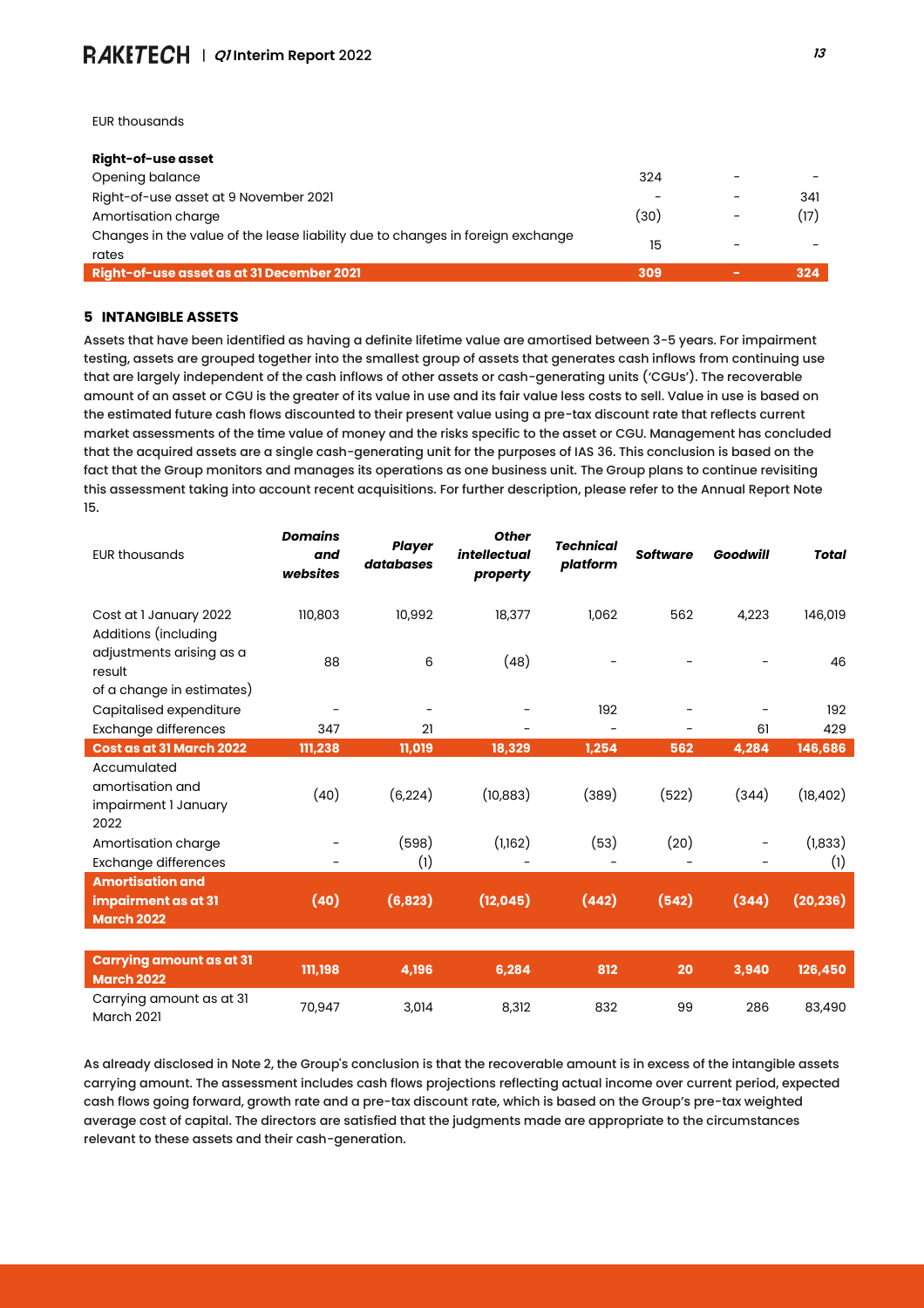EUR thousands

| Right-of-use asset                                                                      |      |        |     |
|-----------------------------------------------------------------------------------------|------|--------|-----|
| Opening balance                                                                         | 324  |        |     |
| Right-of-use asset at 9 November 2021                                                   |      |        | 341 |
| Amortisation charge                                                                     | (30) |        | 17) |
| Changes in the value of the lease liability due to changes in foreign exchange<br>rates | 15   |        |     |
| Right-of-use asset as at 31 December 2021                                               | 309  | $\sim$ | 324 |

#### **5 INTANGIBLE ASSETS**

Assets that have been identified as having a definite lifetime value are amortised between 3-5 years. For impairment testing, assets are grouped together into the smallest group of assets that generates cash inflows from continuing use that are largely independent of the cash inflows of other assets or cash-generating units ('CGUs'). The recoverable amount of an asset or CGU is the greater of its value in use and its fair value less costs to sell. Value in use is based on the estimated future cash flows discounted to their present value using a pre-tax discount rate that reflects current market assessments of the time value of money and the risks specific to the asset or CGU. Management has concluded that the acquired assets are a single cash-generating unit for the purposes of IAS 36. This conclusion is based on the fact that the Group monitors and manages its operations as one business unit. The Group plans to continue revisiting this assessment taking into account recent acquisitions. For further description, please refer to the Annual Report Note 15.

| <b>EUR thousands</b>                                                | <b>Domains</b><br>and<br>websites | <b>Player</b><br>databases | <b>Other</b><br><i>intellectual</i><br>property | <b>Technical</b><br>platform | <b>Software</b> | <b>Goodwill</b>          | <b>Total</b>   |
|---------------------------------------------------------------------|-----------------------------------|----------------------------|-------------------------------------------------|------------------------------|-----------------|--------------------------|----------------|
| Cost at I January 2022<br>Additions (including                      | 110,803                           | 10,992                     | 18,377                                          | 1.062                        | 562             | 4,223                    | 146,019        |
| adjustments arising as a<br>result<br>of a change in estimates)     | 88                                | 6                          | (48)                                            |                              |                 |                          | 46             |
| Capitalised expenditure                                             | $\overline{\phantom{a}}$          | -                          |                                                 | 192                          |                 |                          | 192            |
| <b>Exchange differences</b>                                         | 347                               | 21                         |                                                 | $\overline{\phantom{a}}$     | -               | 61                       | 429            |
| Cost as at 31 March 2022                                            | 111,238                           | 11,019                     | 18,329                                          | 1,254                        | 562             | 4,284                    | 146,686        |
| Accumulated<br>amortisation and<br>impairment I January<br>2022     | (40)                              | (6, 224)                   | (10, 883)                                       | (389)                        | (522)           | (344)                    | (18, 402)      |
| Amortisation charge<br><b>Exchange differences</b>                  | $\overline{\phantom{0}}$          | (598)<br>(1)               | (1,162)                                         | (53)                         | (20)            | $\overline{\phantom{a}}$ | (1,833)<br>(1) |
| <b>Amortisation and</b><br>impairment as at 31<br><b>March 2022</b> | (40)                              | (6, 823)                   | (12, 045)                                       | (442)                        | (542)           | (344)                    | (20, 236)      |
|                                                                     |                                   |                            |                                                 |                              |                 |                          |                |
| <b>Carrying amount as at 31</b><br><b>March 2022</b>                | 111,198                           | 4,196                      | 6,284                                           | 812                          | 20              | 3,940                    | 126,450        |
| Carrying amount as at 31<br><b>March 2021</b>                       | 70,947                            | 3,014                      | 8,312                                           | 832                          | 99              | 286                      | 83,490         |

As already disclosed in Note 2, the Group's conclusion is that the recoverable amount is in excess of the intangible assets carrying amount. The assessment includes cash flows projections reflecting actual income over current period, expected cash flows going forward, growth rate and a pre-tax discount rate, which is based on the Group's pre-tax weighted average cost of capital. The directors are satisfied that the judgments made are appropriate to the circumstances relevant to these assets and their cash-generation.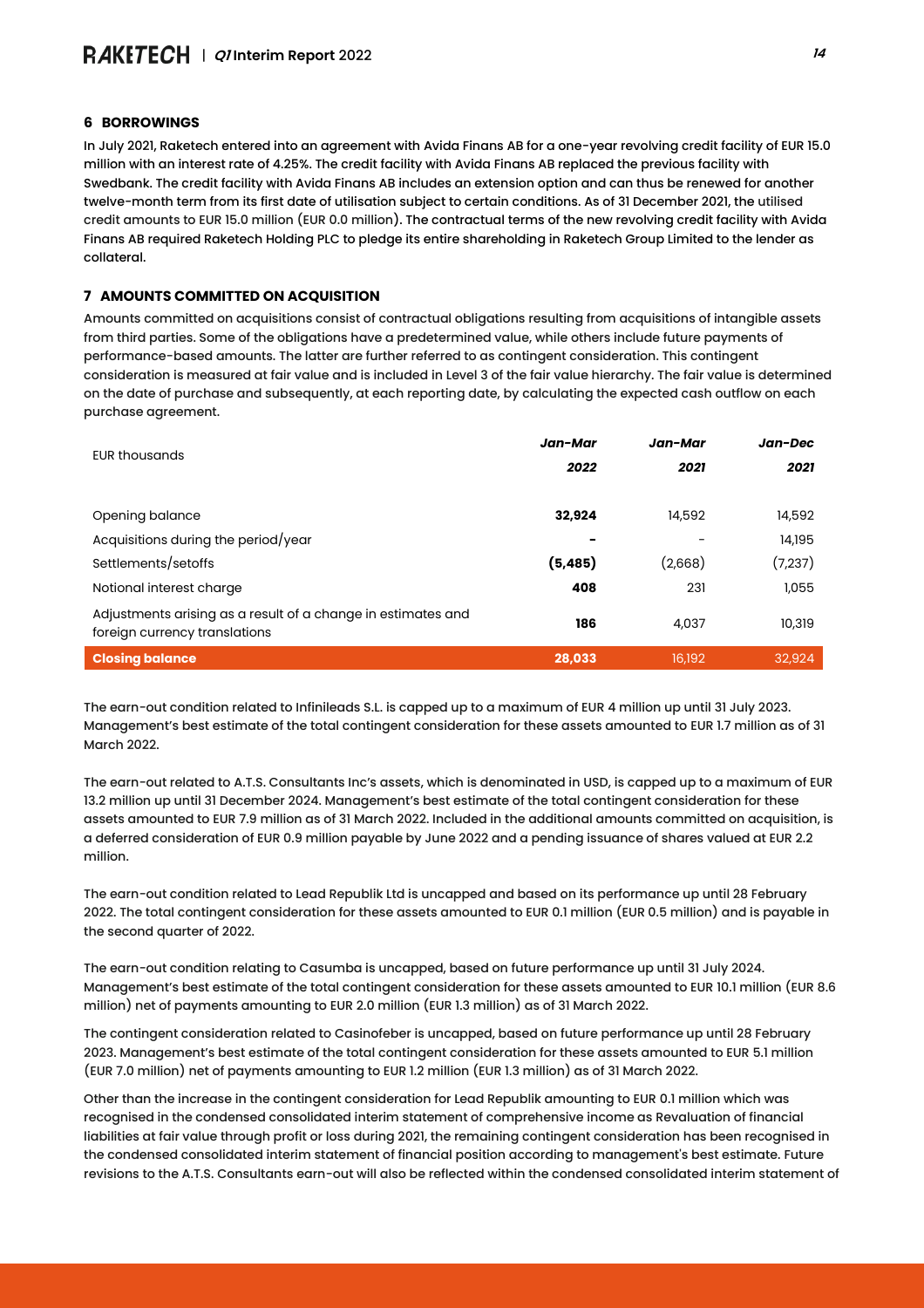#### **6 BORROWINGS**

In July 2021, Raketech entered into an agreement with Avida Finans AB for a one-year revolving credit facility of EUR 15.0 million with an interest rate of 4.25%. The credit facility with Avida Finans AB replaced the previous facility with Swedbank. The credit facility with Avida Finans AB includes an extension option and can thus be renewed for another twelve-month term from its first date of utilisation subject to certain conditions. As of 31 December 2021, the utilised credit amounts to EUR 15.0 million (EUR 0.0 million). The contractual terms of the new revolving credit facility with Avida Finans AB required Raketech Holding PLC to pledge its entire shareholding in Raketech Group Limited to the lender as collateral.

#### **7 AMOUNTS COMMITTED ON ACQUISITION**

Amounts committed on acquisitions consist of contractual obligations resulting from acquisitions of intangible assets from third parties. Some of the obligations have a predetermined value, while others include future payments of performance-based amounts. The latter are further referred to as contingent consideration. This contingent consideration is measured at fair value and is included in Level 3 of the fair value hierarchy. The fair value is determined on the date of purchase and subsequently, at each reporting date, by calculating the expected cash outflow on each purchase agreement.

| <b>EUR thousands</b>                                                                          | Jan-Mar  | Jan-Mar | Jan-Dec |
|-----------------------------------------------------------------------------------------------|----------|---------|---------|
|                                                                                               | 2022     | 2021    | 2021    |
|                                                                                               |          |         |         |
| Opening balance                                                                               | 32,924   | 14,592  | 14,592  |
| Acquisitions during the period/year                                                           |          |         | 14,195  |
| Settlements/setoffs                                                                           | (5, 485) | (2,668) | (7,237) |
| Notional interest charge                                                                      | 408      | 231     | 1,055   |
| Adjustments arising as a result of a change in estimates and<br>foreign currency translations | 186      | 4,037   | 10,319  |
| <b>Closing balance</b>                                                                        | 28,033   | 16,192  | 32,924  |

The earn-out condition related to Infinileads S.L. is capped up to a maximum of EUR 4 million up until 31 July 2023. Management's best estimate of the total contingent consideration for these assets amounted to EUR 1.7 million as of 31 March 2022.

The earn-out related to A.T.S. Consultants Inc's assets, which is denominated in USD, is capped up to a maximum of EUR 13.2 million up until 31 December 2024. Management's best estimate of the total contingent consideration for these assets amounted to EUR 7.9 million as of 31 March 2022. Included in the additional amounts committed on acquisition, is a deferred consideration of EUR 0.9 million payable by June 2022 and a pending issuance of shares valued at EUR 2.2 million.

The earn-out condition related to Lead Republik Ltd is uncapped and based on its performance up until 28 February 2022. The total contingent consideration for these assets amounted to EUR 0.1 million (EUR 0.5 million) and is payable in the second quarter of 2022.

The earn-out condition relating to Casumba is uncapped, based on future performance up until 31 July 2024. Management's best estimate of the total contingent consideration for these assets amounted to EUR 10.1 million (EUR 8.6 million) net of payments amounting to EUR 2.0 million (EUR 1.3 million) as of 31 March 2022.

The contingent consideration related to Casinofeber is uncapped, based on future performance up until 28 February 2023. Management's best estimate of the total contingent consideration for these assets amounted to EUR 5.1 million (EUR 7.0 million) net of payments amounting to EUR 1.2 million (EUR 1.3 million) as of 31 March 2022.

Other than the increase in the contingent consideration for Lead Republik amounting to EUR 0.1 million which was recognised in the condensed consolidated interim statement of comprehensive income as Revaluation of financial liabilities at fair value through profit or loss during 2021, the remaining contingent consideration has been recognised in the condensed consolidated interim statement of financial position according to management's best estimate. Future revisions to the A.T.S. Consultants earn-out will also be reflected within the condensed consolidated interim statement of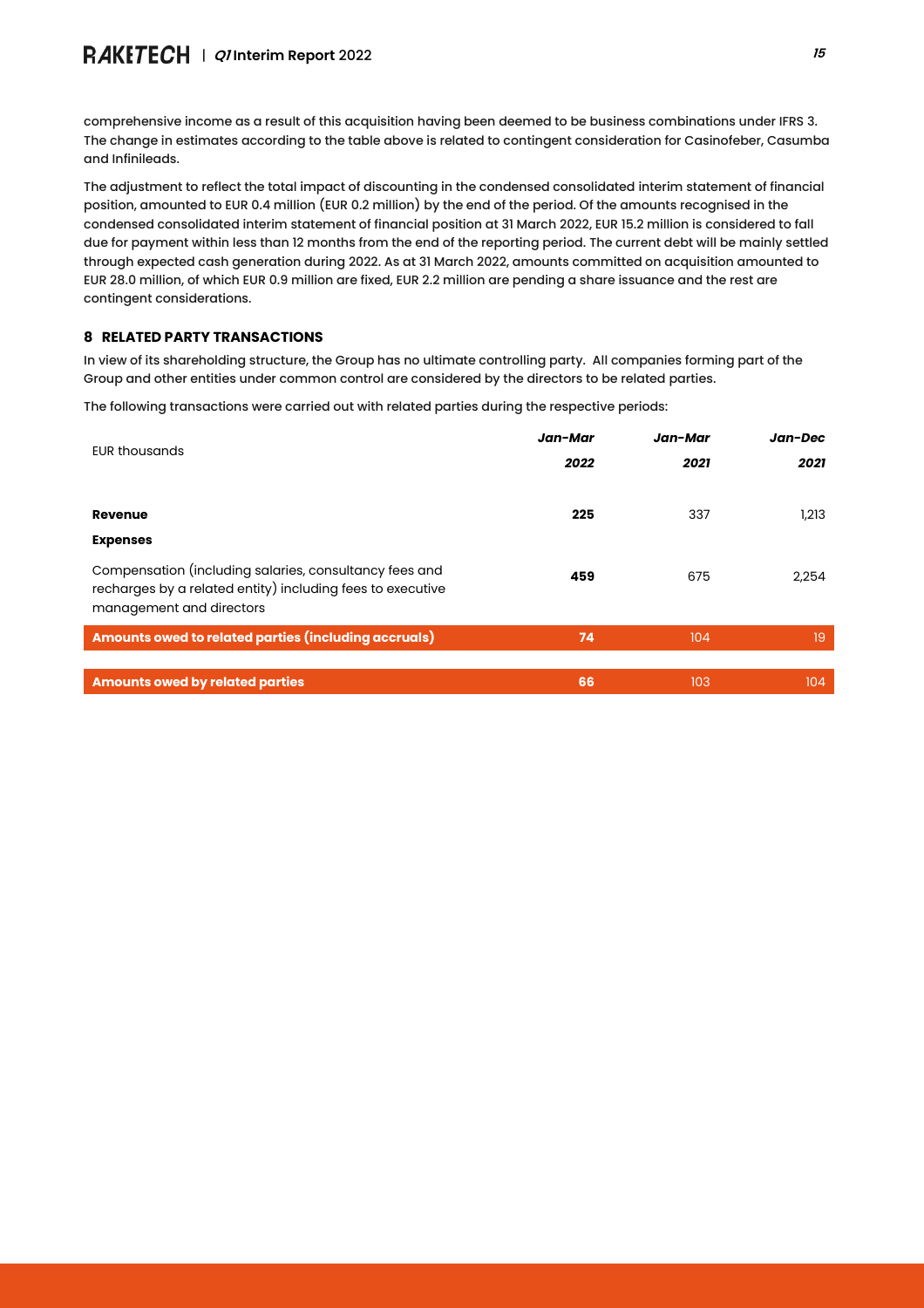comprehensive income as a result of this acquisition having been deemed to be business combinations under IFRS 3. The change in estimates according to the table above is related to contingent consideration for Casinofeber, Casumba and Infinileads.

The adjustment to reflect the total impact of discounting in the condensed consolidated interim statement of financial position, amounted to EUR 0.4 million (EUR 0.2 million) by the end of the period. Of the amounts recognised in the condensed consolidated interim statement of financial position at 31 March 2022, EUR 15.2 million is considered to fall due for payment within less than 12 months from the end of the reporting period. The current debt will be mainly settled through expected cash generation during 2022. As at 31 March 2022, amounts committed on acquisition amounted to EUR 28.0 million, of which EUR 0.9 million are fixed, EUR 2.2 million are pending a share issuance and the rest are contingent considerations.

## **8 RELATED PARTY TRANSACTIONS**

In view of its shareholding structure, the Group has no ultimate controlling party. All companies forming part of the Group and other entities under common control are considered by the directors to be related parties.

The following transactions were carried out with related parties during the respective periods:

| <b>EUR thousands</b>                                                                                                                             | Jan-Mar | Jan-Mar | Jan-Dec |
|--------------------------------------------------------------------------------------------------------------------------------------------------|---------|---------|---------|
|                                                                                                                                                  | 2022    | 2021    | 2021    |
|                                                                                                                                                  |         |         |         |
| Revenue                                                                                                                                          | 225     | 337     | 1,213   |
| <b>Expenses</b>                                                                                                                                  |         |         |         |
| Compensation (including salaries, consultancy fees and<br>recharges by a related entity) including fees to executive<br>management and directors | 459     | 675     | 2,254   |
| Amounts owed to related parties (including accruals)                                                                                             | 74      | 104     | 19      |
|                                                                                                                                                  |         |         |         |
| <b>Amounts owed by related parties</b>                                                                                                           | 66      | 103     | 104     |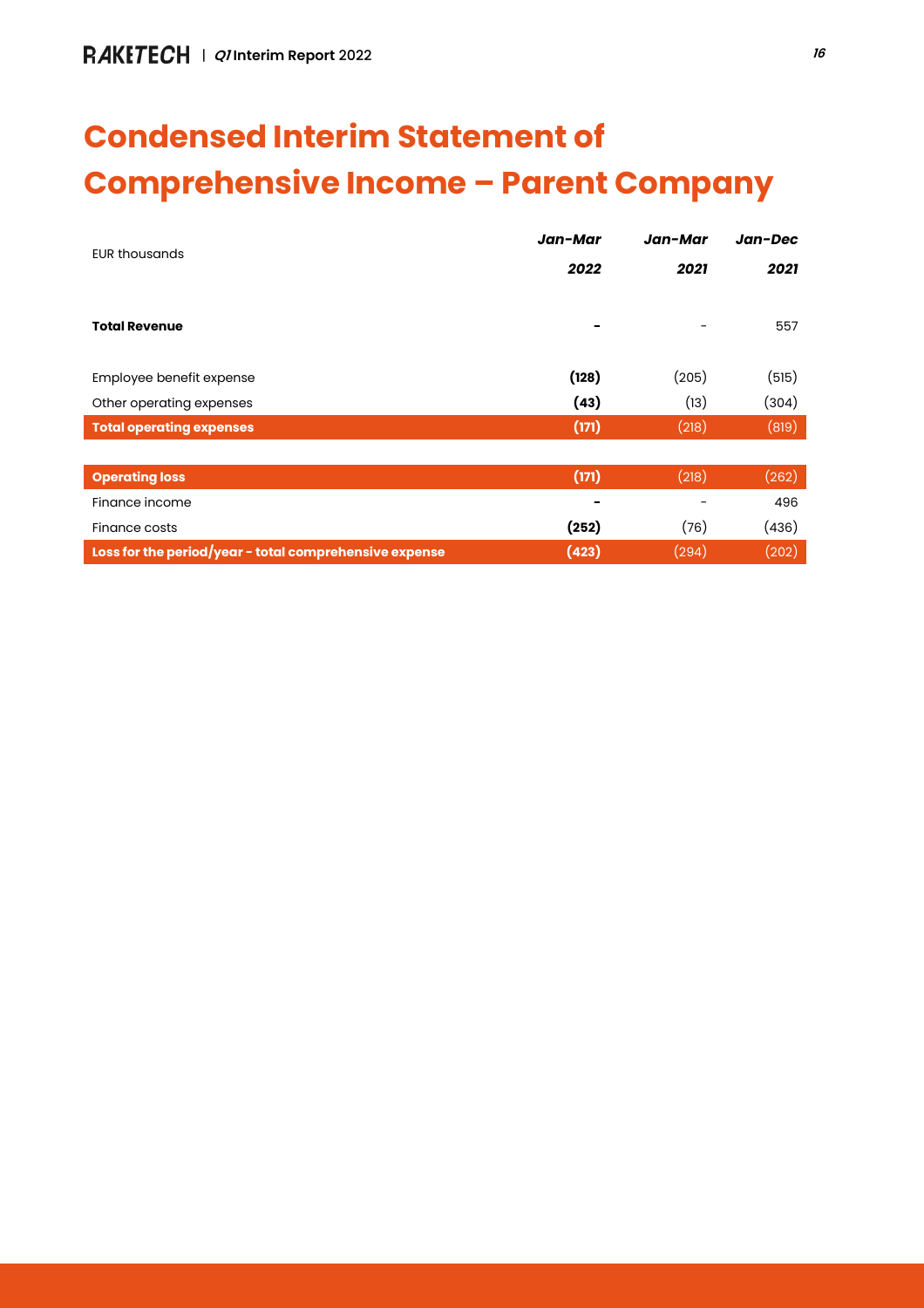# **Condensed Interim Statement of Comprehensive Income – Parent Company**

| <b>EUR thousands</b>                                   | Jan-Mar | Jan-Mar | Jan-Dec |
|--------------------------------------------------------|---------|---------|---------|
|                                                        | 2022    | 2021    | 2021    |
|                                                        |         |         |         |
| <b>Total Revenue</b>                                   |         |         | 557     |
|                                                        |         |         |         |
| Employee benefit expense                               | (128)   | (205)   | (515)   |
| Other operating expenses                               | (43)    | (13)    | (304)   |
| <b>Total operating expenses</b>                        | (171)   | (218)   | (819)   |
|                                                        |         |         |         |
| <b>Operating loss</b>                                  | (171)   | (218)   | (262)   |
| Finance income                                         |         |         | 496     |
| Finance costs                                          | (252)   | (76)    | (436)   |
| Loss for the period/year - total comprehensive expense | (423)   | (294)   | (202)   |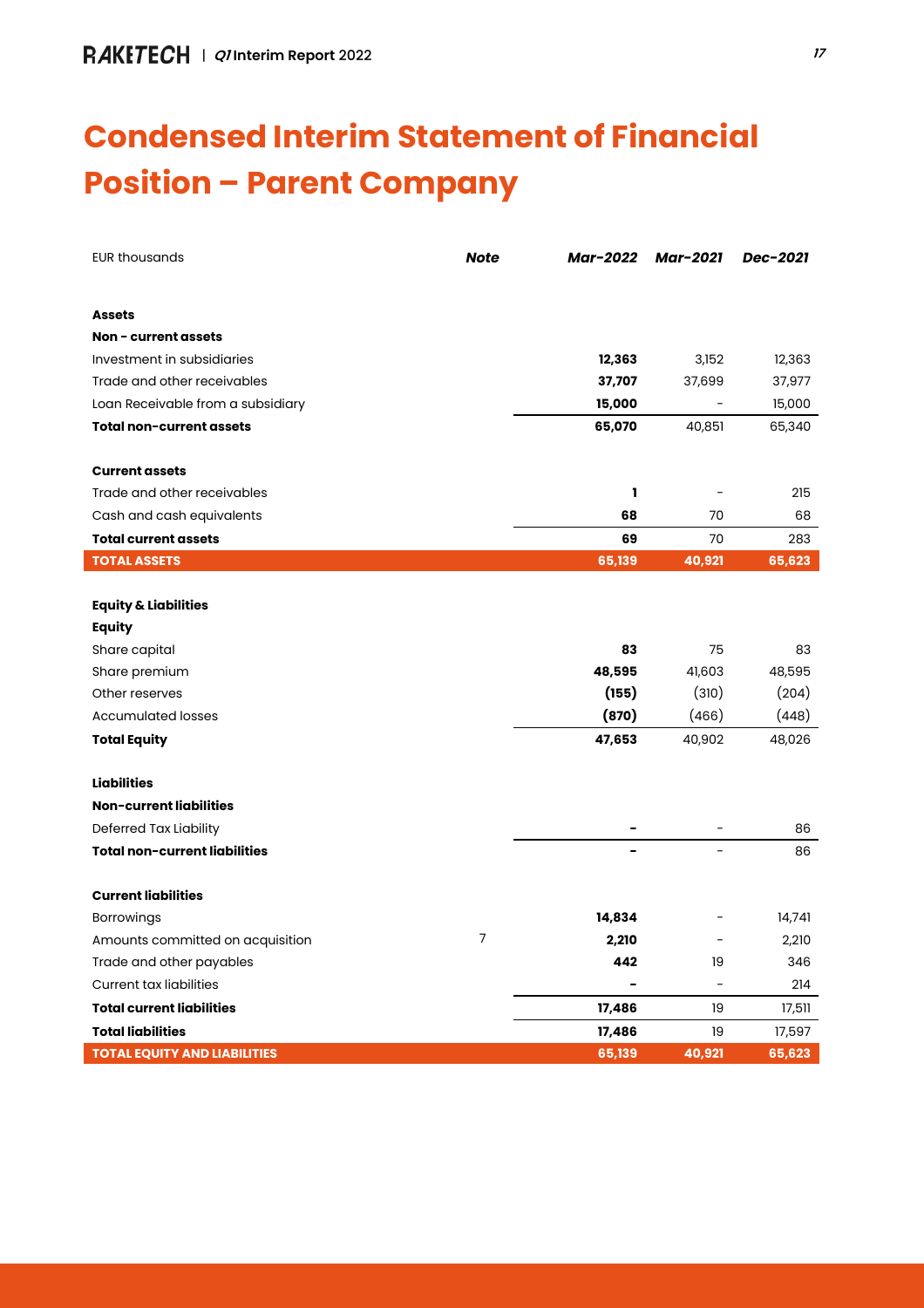## **Condensed Interim Statement of Financial Position – Parent Company**

| <b>EUR thousands</b>                 | <b>Note</b> | Mar-2022 | <b>Mar-2021</b>              | Dec-2021 |
|--------------------------------------|-------------|----------|------------------------------|----------|
|                                      |             |          |                              |          |
| <b>Assets</b>                        |             |          |                              |          |
| Non - current assets                 |             |          |                              |          |
| Investment in subsidiaries           |             | 12,363   | 3,152                        | 12,363   |
| Trade and other receivables          |             | 37,707   | 37,699                       | 37,977   |
| Loan Receivable from a subsidiary    |             | 15,000   |                              | 15,000   |
| <b>Total non-current assets</b>      |             | 65,070   | 40,851                       | 65,340   |
| <b>Current assets</b>                |             |          |                              |          |
| Trade and other receivables          |             | ı        |                              | 215      |
| Cash and cash equivalents            |             | 68       | 70                           | 68       |
| <b>Total current assets</b>          |             | 69       | 70                           | 283      |
| <b>TOTAL ASSETS</b>                  |             | 65,139   | 40,921                       | 65,623   |
|                                      |             |          |                              |          |
| <b>Equity &amp; Liabilities</b>      |             |          |                              |          |
| <b>Equity</b>                        |             |          |                              |          |
| Share capital                        |             | 83       | 75                           | 83       |
| Share premium                        |             | 48,595   | 41,603                       | 48,595   |
| Other reserves                       |             | (155)    | (310)                        | (204)    |
| <b>Accumulated losses</b>            |             | (870)    | (466)                        | (448)    |
| <b>Total Equity</b>                  |             | 47,653   | 40,902                       | 48,026   |
| <b>Liabilities</b>                   |             |          |                              |          |
| Non-current liabilities              |             |          |                              |          |
| Deferred Tax Liability               |             |          |                              | 86       |
| <b>Total non-current liabilities</b> |             |          |                              | 86       |
| <b>Current liabilities</b>           |             |          |                              |          |
| <b>Borrowings</b>                    |             | 14,834   |                              | 14,741   |
| Amounts committed on acquisition     | 7           | 2,210    |                              | 2,210    |
| Trade and other payables             |             | 442      | 19                           | 346      |
| <b>Current tax liabilities</b>       |             |          | $\qquad \qquad \blacksquare$ | 214      |
| <b>Total current liabilities</b>     |             | 17,486   | 19                           | 17,511   |
| <b>Total liabilities</b>             |             | 17,486   | 19                           | 17,597   |
| <b>TOTAL EQUITY AND LIABILITIES</b>  |             | 65,139   | 40,921                       | 65,623   |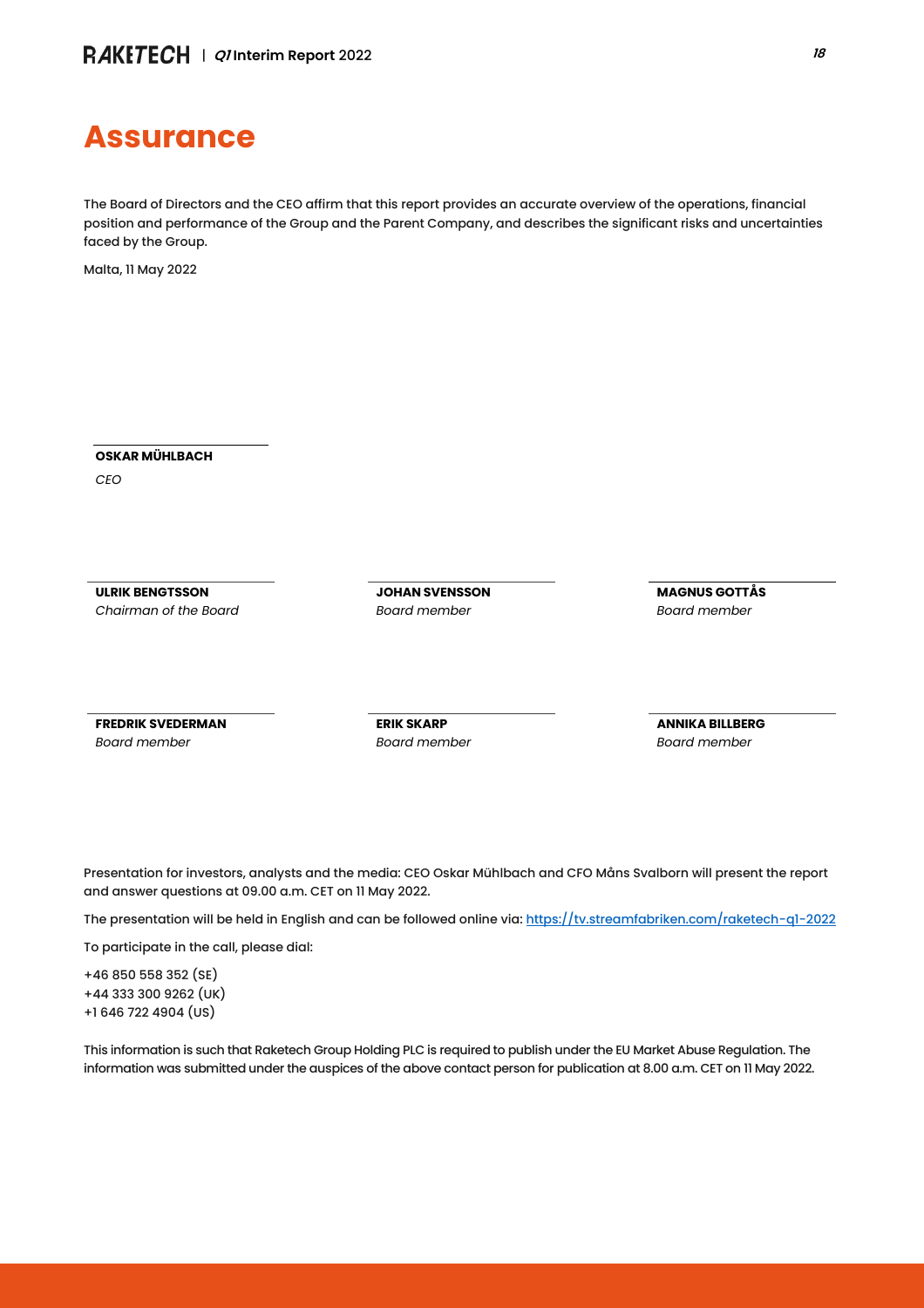## **Assurance**

The Board of Directors and the CEO affirm that this report provides an accurate overview of the operations, financial position and performance of the Group and the Parent Company, and describes the significant risks and uncertainties faced by the Group.

Malta, 11 May 2022

**OSKAR MÜHLBACH**

*CEO*

**ULRIK BENGTSSON** *Chairman of the Board* **JOHAN SVENSSON** *Board member*

**MAGNUS GOTTÅS** *Board member*

**FREDRIK SVEDERMAN** *Board member*

**ERIK SKARP** *Board member* **ANNIKA BILLBERG** *Board member*

Presentation for investors, analysts and the media: CEO Oskar Mühlbach and CFO Måns Svalborn will present the report and answer questions at 09.00 a.m. CET on 11 May 2022.

The presentation will be held in English and can be followed online via[: https://tv.streamfabriken.com/raketech-q1-2022](https://tv.streamfabriken.com/raketech-q1-2022)

To participate in the call, please dial:

+46 850 558 352 (SE) +44 333 300 9262 (UK) +1 646 722 4904 (US)

This information is such that Raketech Group Holding PLC is required to publish under the EU Market Abuse Regulation. The information was submitted under the auspices of the above contact person for publication at 8.00 a.m. CET on 11 May 2022.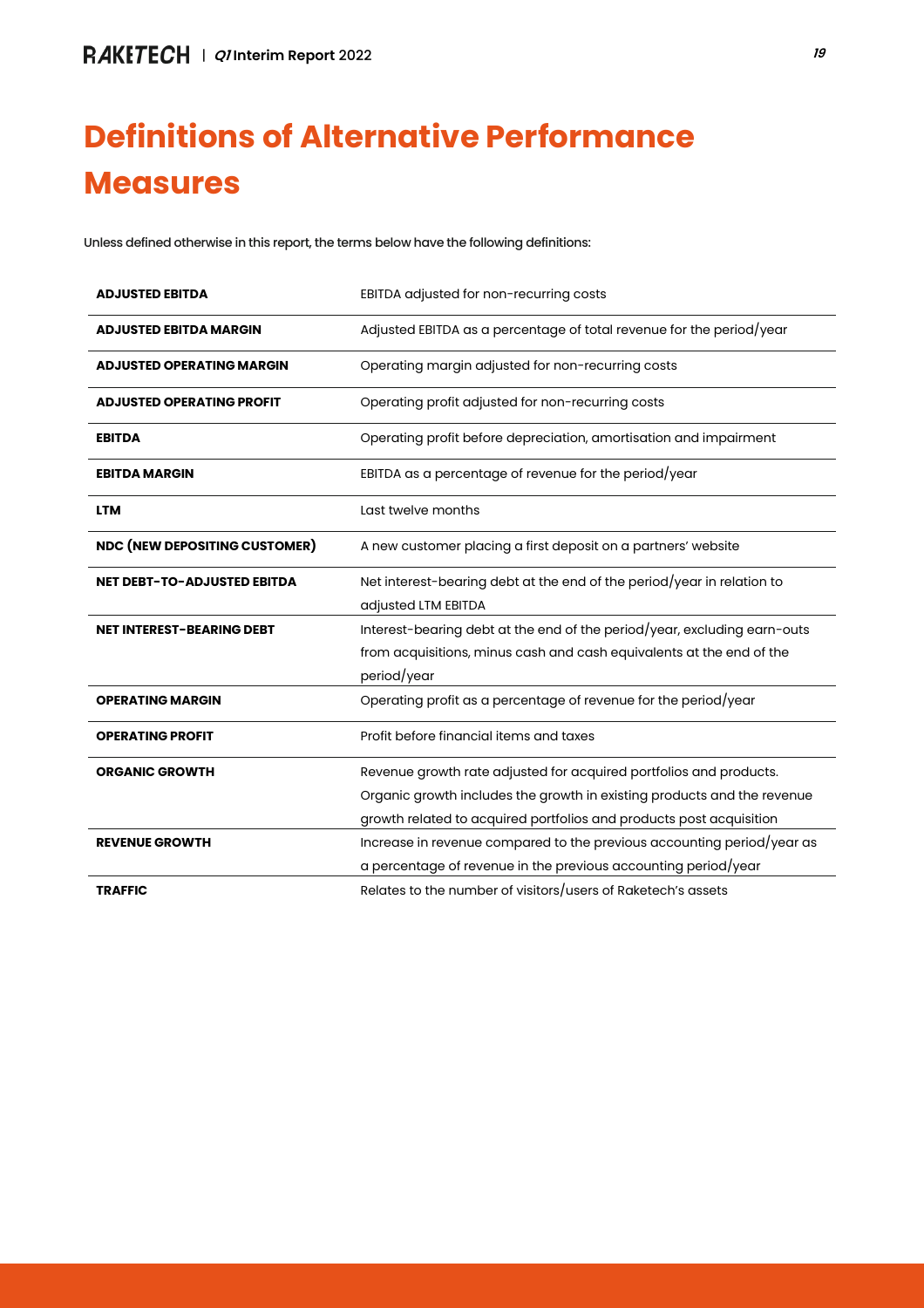## **Definitions of Alternative Performance Measures**

Unless defined otherwise in this report, the terms below have the following definitions:

| <b>ADJUSTED EBITDA</b>               | EBITDA adjusted for non-recurring costs                                                                                                                                                                              |
|--------------------------------------|----------------------------------------------------------------------------------------------------------------------------------------------------------------------------------------------------------------------|
| <b>ADJUSTED EBITDA MARGIN</b>        | Adjusted EBITDA as a percentage of total revenue for the period/year                                                                                                                                                 |
| <b>ADJUSTED OPERATING MARGIN</b>     | Operating margin adjusted for non-recurring costs                                                                                                                                                                    |
| <b>ADJUSTED OPERATING PROFIT</b>     | Operating profit adjusted for non-recurring costs                                                                                                                                                                    |
| <b>EBITDA</b>                        | Operating profit before depreciation, amortisation and impairment                                                                                                                                                    |
| <b>EBITDA MARGIN</b>                 | EBITDA as a percentage of revenue for the period/year                                                                                                                                                                |
| <b>LTM</b>                           | Last twelve months                                                                                                                                                                                                   |
| <b>NDC (NEW DEPOSITING CUSTOMER)</b> | A new customer placing a first deposit on a partners' website                                                                                                                                                        |
| <b>NET DEBT-TO-ADJUSTED EBITDA</b>   | Net interest-bearing debt at the end of the period/year in relation to<br>adjusted LTM EBITDA                                                                                                                        |
| <b>NET INTEREST-BEARING DEBT</b>     | Interest-bearing debt at the end of the period/year, excluding earn-outs<br>from acquisitions, minus cash and cash equivalents at the end of the<br>period/year                                                      |
| <b>OPERATING MARGIN</b>              | Operating profit as a percentage of revenue for the period/year                                                                                                                                                      |
| <b>OPERATING PROFIT</b>              | Profit before financial items and taxes                                                                                                                                                                              |
| <b>ORGANIC GROWTH</b>                | Revenue growth rate adjusted for acquired portfolios and products.<br>Organic growth includes the growth in existing products and the revenue<br>growth related to acquired portfolios and products post acquisition |
| <b>REVENUE GROWTH</b>                | Increase in revenue compared to the previous accounting period/year as<br>a percentage of revenue in the previous accounting period/year                                                                             |
| <b>TRAFFIC</b>                       | Relates to the number of visitors/users of Raketech's assets                                                                                                                                                         |